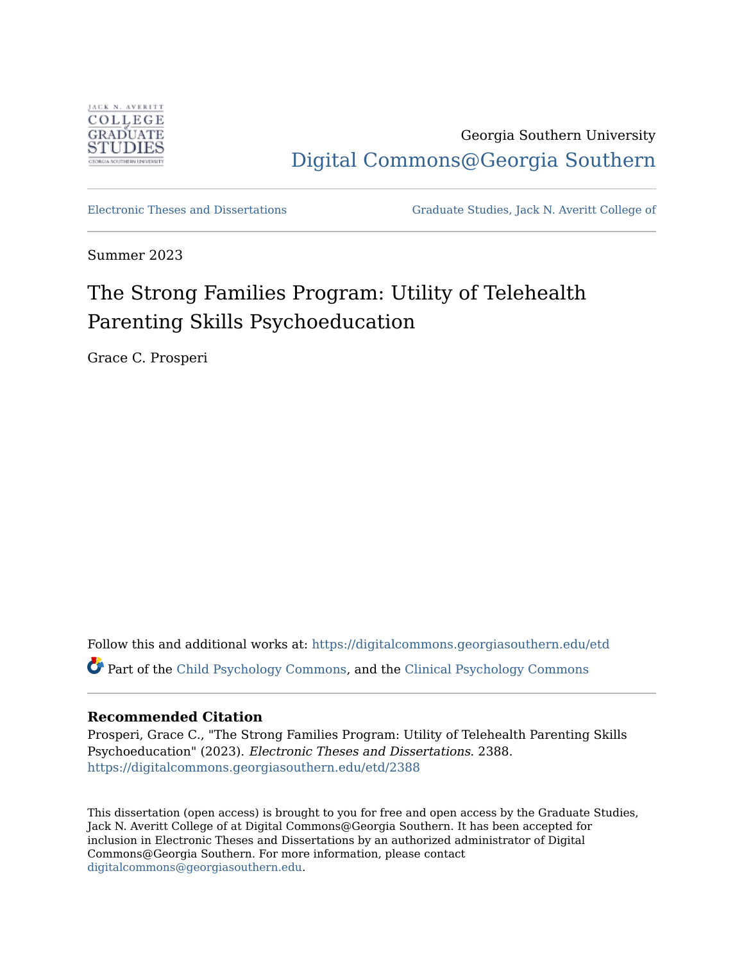

Georgia Southern University [Digital Commons@Georgia Southern](https://digitalcommons.georgiasouthern.edu/) 

[Electronic Theses and Dissertations](https://digitalcommons.georgiasouthern.edu/etd) [Graduate Studies, Jack N. Averitt College of](https://digitalcommons.georgiasouthern.edu/cogs) 

Summer 2023

# The Strong Families Program: Utility of Telehealth Parenting Skills Psychoeducation

Grace C. Prosperi

Follow this and additional works at: [https://digitalcommons.georgiasouthern.edu/etd](https://digitalcommons.georgiasouthern.edu/etd?utm_source=digitalcommons.georgiasouthern.edu%2Fetd%2F2388&utm_medium=PDF&utm_campaign=PDFCoverPages)  Part of the [Child Psychology Commons](http://network.bepress.com/hgg/discipline/1023?utm_source=digitalcommons.georgiasouthern.edu%2Fetd%2F2388&utm_medium=PDF&utm_campaign=PDFCoverPages), and the [Clinical Psychology Commons](http://network.bepress.com/hgg/discipline/406?utm_source=digitalcommons.georgiasouthern.edu%2Fetd%2F2388&utm_medium=PDF&utm_campaign=PDFCoverPages) 

# **Recommended Citation**

Prosperi, Grace C., "The Strong Families Program: Utility of Telehealth Parenting Skills Psychoeducation" (2023). Electronic Theses and Dissertations. 2388. [https://digitalcommons.georgiasouthern.edu/etd/2388](https://digitalcommons.georgiasouthern.edu/etd/2388?utm_source=digitalcommons.georgiasouthern.edu%2Fetd%2F2388&utm_medium=PDF&utm_campaign=PDFCoverPages) 

This dissertation (open access) is brought to you for free and open access by the Graduate Studies, Jack N. Averitt College of at Digital Commons@Georgia Southern. It has been accepted for inclusion in Electronic Theses and Dissertations by an authorized administrator of Digital Commons@Georgia Southern. For more information, please contact [digitalcommons@georgiasouthern.edu.](mailto:digitalcommons@georgiasouthern.edu)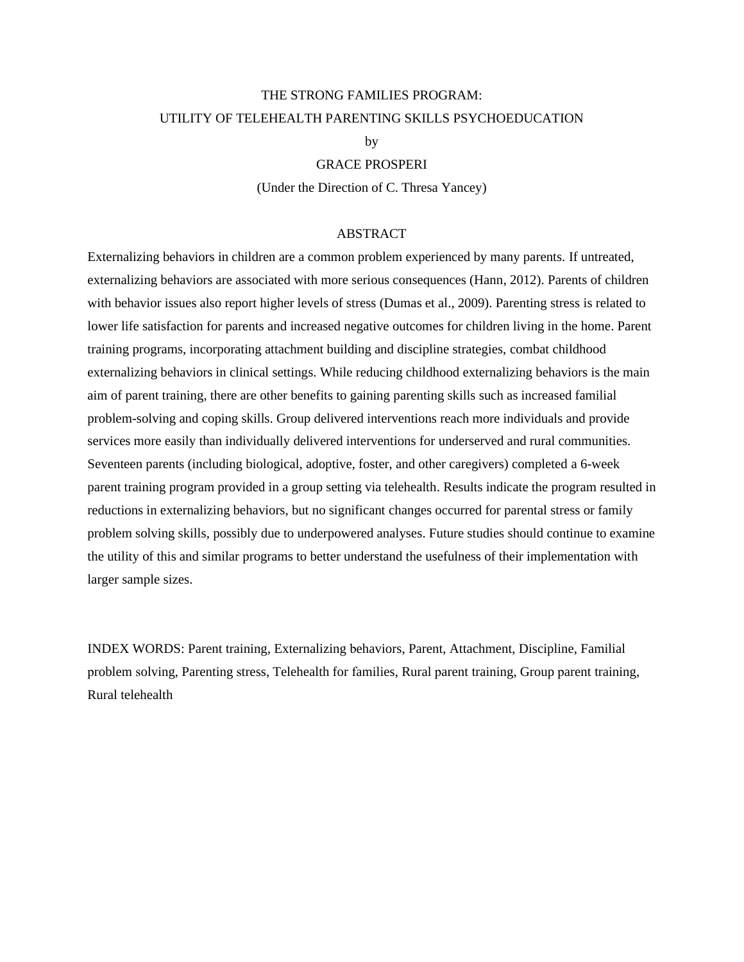# THE STRONG FAMILIES PROGRAM: UTILITY OF TELEHEALTH PARENTING SKILLS PSYCHOEDUCATION

by

## GRACE PROSPERI

(Under the Direction of C. Thresa Yancey)

# ABSTRACT

Externalizing behaviors in children are a common problem experienced by many parents. If untreated, externalizing behaviors are associated with more serious consequences (Hann, 2012). Parents of children with behavior issues also report higher levels of stress (Dumas et al., 2009). Parenting stress is related to lower life satisfaction for parents and increased negative outcomes for children living in the home. Parent training programs, incorporating attachment building and discipline strategies, combat childhood externalizing behaviors in clinical settings. While reducing childhood externalizing behaviors is the main aim of parent training, there are other benefits to gaining parenting skills such as increased familial problem-solving and coping skills. Group delivered interventions reach more individuals and provide services more easily than individually delivered interventions for underserved and rural communities. Seventeen parents (including biological, adoptive, foster, and other caregivers) completed a 6-week parent training program provided in a group setting via telehealth. Results indicate the program resulted in reductions in externalizing behaviors, but no significant changes occurred for parental stress or family problem solving skills, possibly due to underpowered analyses. Future studies should continue to examine the utility of this and similar programs to better understand the usefulness of their implementation with larger sample sizes.

INDEX WORDS: Parent training, Externalizing behaviors, Parent, Attachment, Discipline, Familial problem solving, Parenting stress, Telehealth for families, Rural parent training, Group parent training, Rural telehealth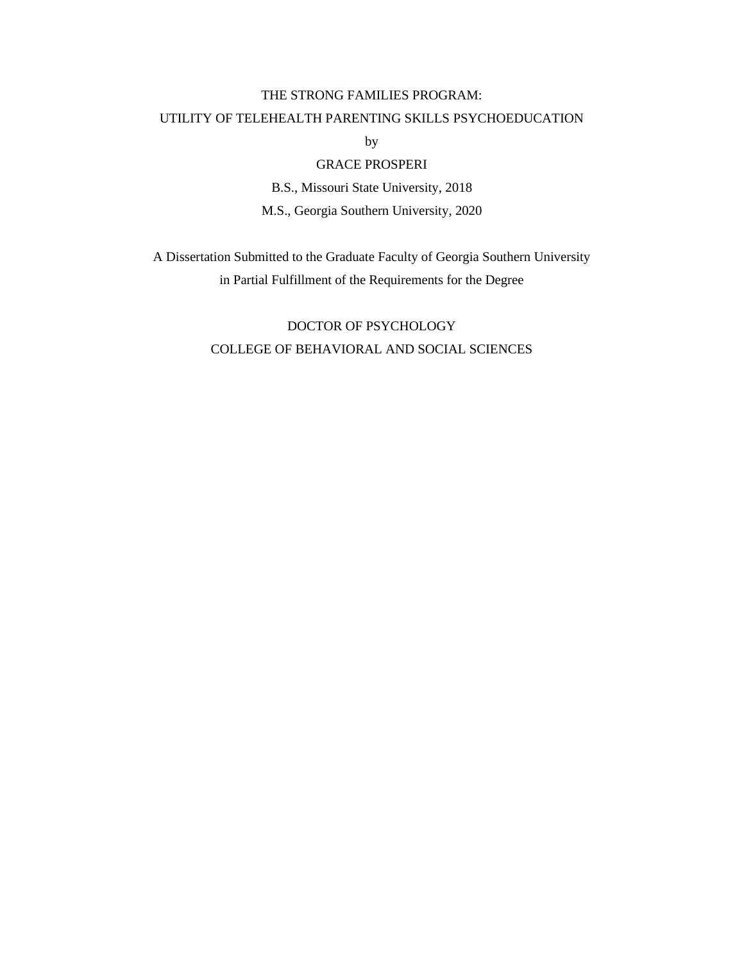# THE STRONG FAMILIES PROGRAM:

# UTILITY OF TELEHEALTH PARENTING SKILLS PSYCHOEDUCATION

by

# GRACE PROSPERI

B.S., Missouri State University, 2018 M.S., Georgia Southern University, 2020

A Dissertation Submitted to the Graduate Faculty of Georgia Southern University in Partial Fulfillment of the Requirements for the Degree

# DOCTOR OF PSYCHOLOGY COLLEGE OF BEHAVIORAL AND SOCIAL SCIENCES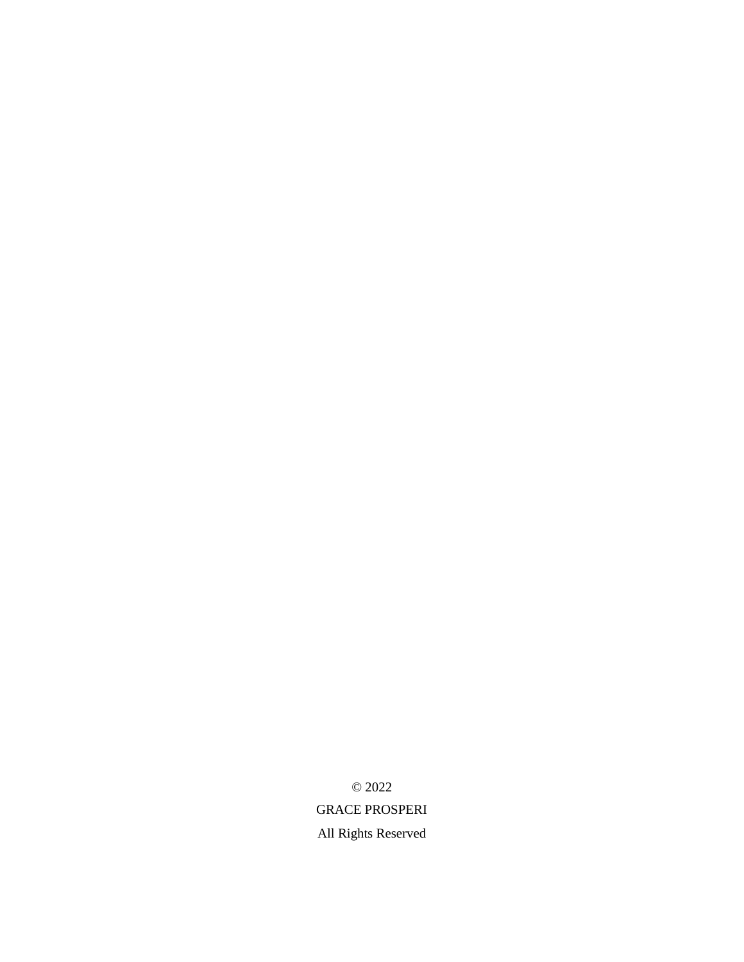© 2022

GRACE PROSPERI All Rights Reserved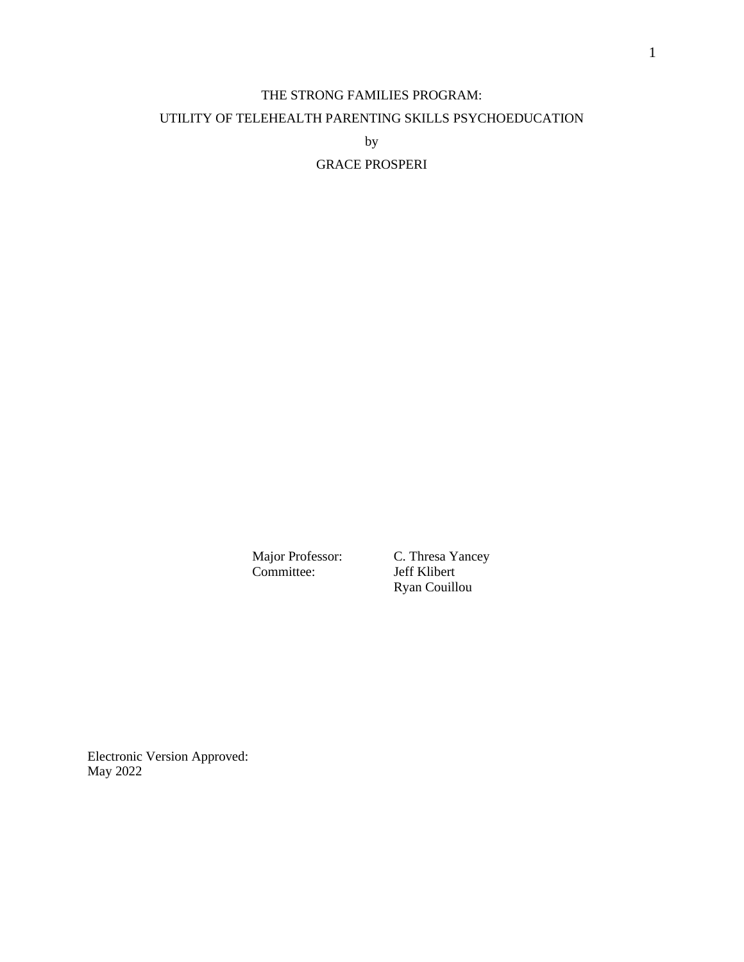# THE STRONG FAMILIES PROGRAM: UTILITY OF TELEHEALTH PARENTING SKILLS PSYCHOEDUCATION

by

GRACE PROSPERI

Committee: Jeff Klibert

Major Professor: C. Thresa Yancey Ryan Couillou

Electronic Version Approved: May 2022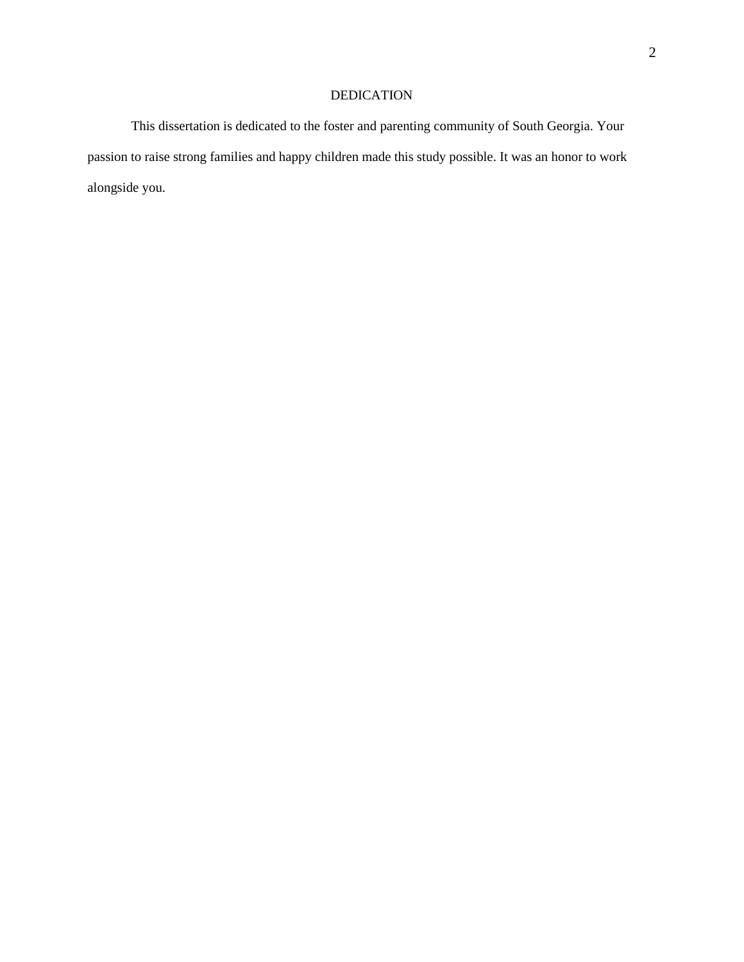# DEDICATION

This dissertation is dedicated to the foster and parenting community of South Georgia. Your passion to raise strong families and happy children made this study possible. It was an honor to work alongside you.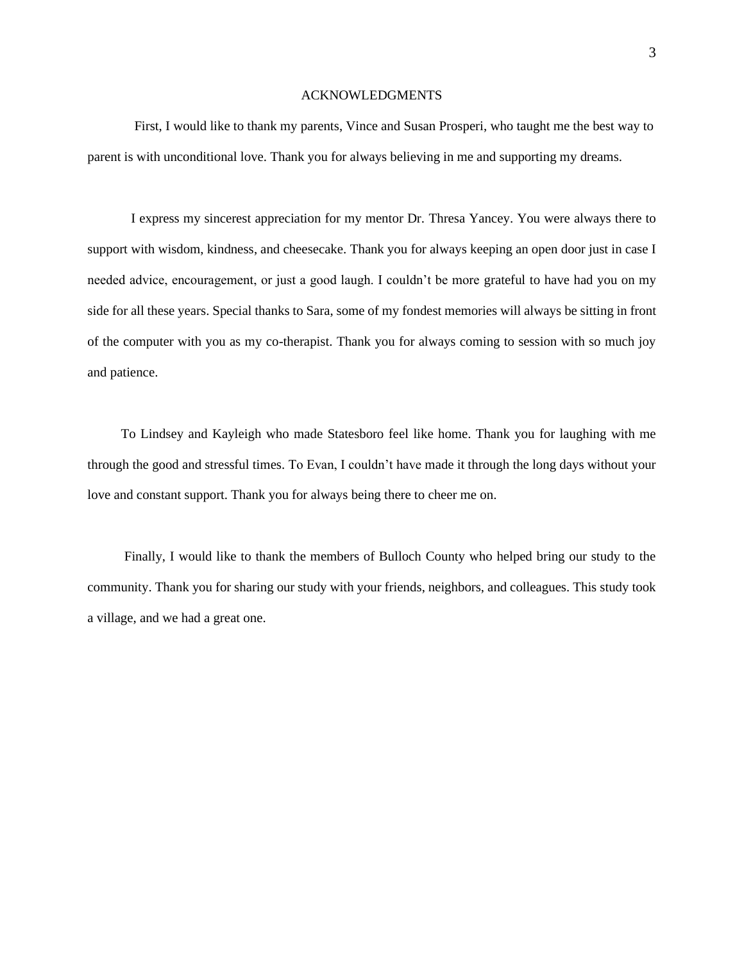#### ACKNOWLEDGMENTS

First, I would like to thank my parents, Vince and Susan Prosperi, who taught me the best way to parent is with unconditional love. Thank you for always believing in me and supporting my dreams.

I express my sincerest appreciation for my mentor Dr. Thresa Yancey. You were always there to support with wisdom, kindness, and cheesecake. Thank you for always keeping an open door just in case I needed advice, encouragement, or just a good laugh. I couldn't be more grateful to have had you on my side for all these years. Special thanks to Sara, some of my fondest memories will always be sitting in front of the computer with you as my co-therapist. Thank you for always coming to session with so much joy and patience.

 To Lindsey and Kayleigh who made Statesboro feel like home. Thank you for laughing with me through the good and stressful times. To Evan, I couldn't have made it through the long days without your love and constant support. Thank you for always being there to cheer me on.

Finally, I would like to thank the members of Bulloch County who helped bring our study to the community. Thank you for sharing our study with your friends, neighbors, and colleagues. This study took a village, and we had a great one.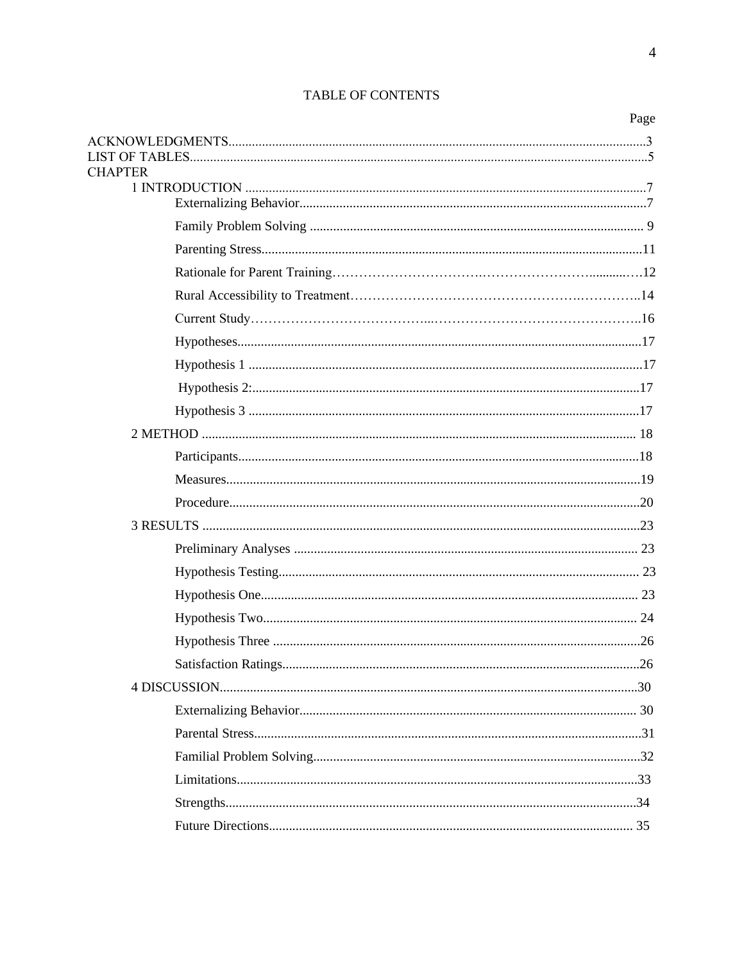$\overline{4}$ 

| Satisfaction Ratings |  |
|----------------------|--|
|                      |  |
|                      |  |
|                      |  |
|                      |  |
|                      |  |
|                      |  |
|                      |  |

# **TABLE OF CONTENTS**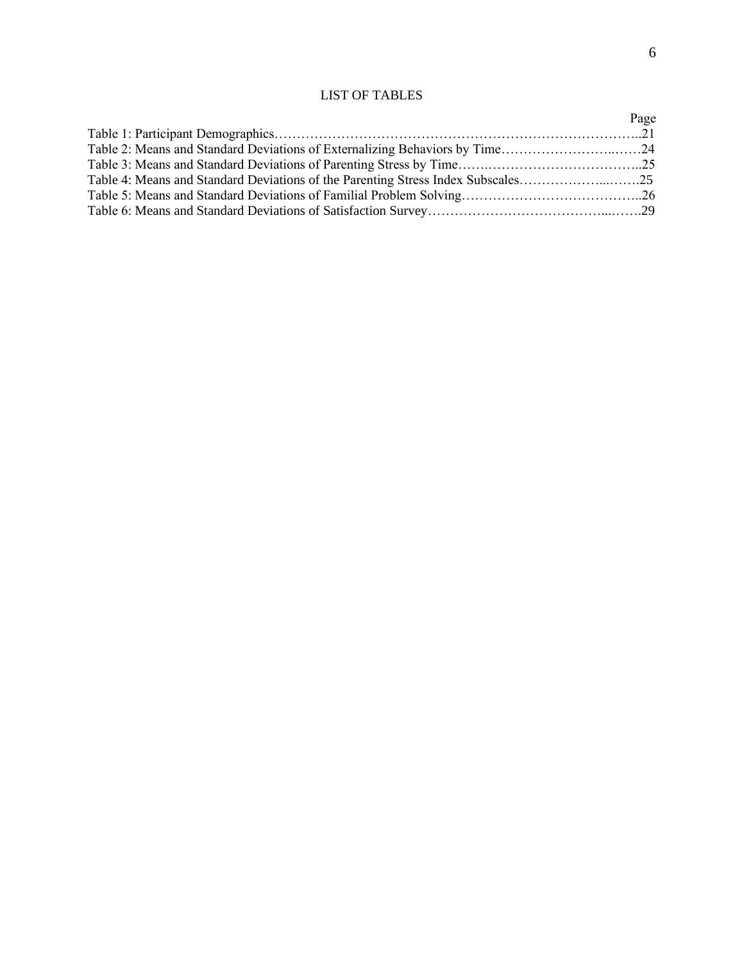# LIST OF TABLES

|                                                                                  | Page |
|----------------------------------------------------------------------------------|------|
|                                                                                  |      |
|                                                                                  |      |
|                                                                                  |      |
| Table 4: Means and Standard Deviations of the Parenting Stress Index Subscales25 |      |
|                                                                                  |      |
|                                                                                  |      |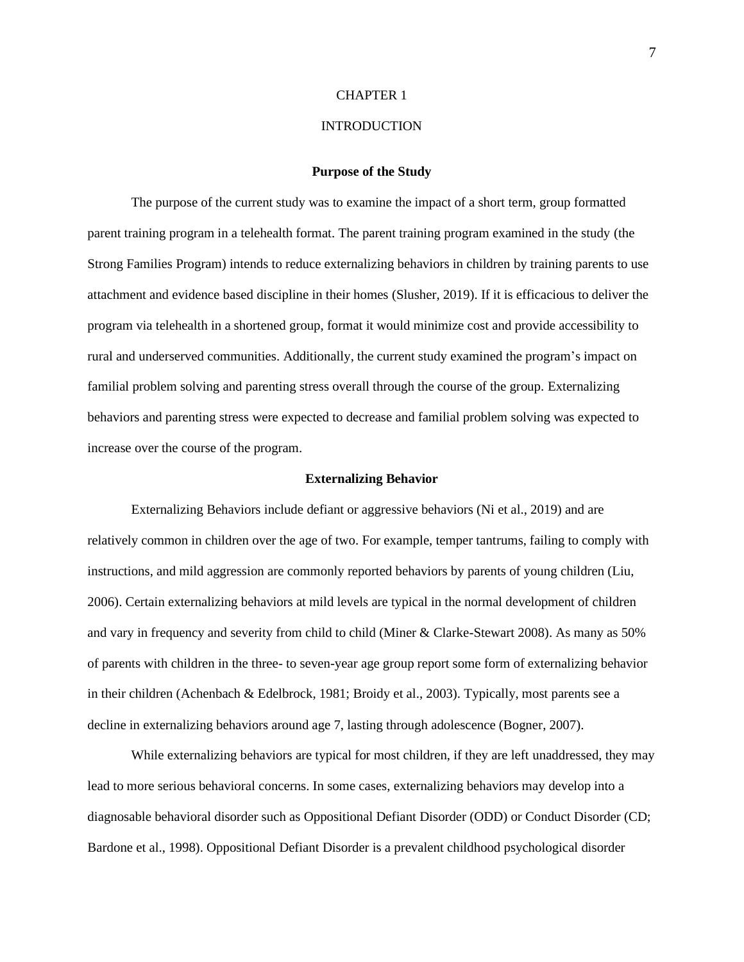#### CHAPTER 1

# INTRODUCTION

#### **Purpose of the Study**

The purpose of the current study was to examine the impact of a short term, group formatted parent training program in a telehealth format. The parent training program examined in the study (the Strong Families Program) intends to reduce externalizing behaviors in children by training parents to use attachment and evidence based discipline in their homes (Slusher, 2019). If it is efficacious to deliver the program via telehealth in a shortened group, format it would minimize cost and provide accessibility to rural and underserved communities. Additionally, the current study examined the program's impact on familial problem solving and parenting stress overall through the course of the group. Externalizing behaviors and parenting stress were expected to decrease and familial problem solving was expected to increase over the course of the program.

#### **Externalizing Behavior**

Externalizing Behaviors include defiant or aggressive behaviors (Ni et al., 2019) and are relatively common in children over the age of two. For example, temper tantrums, failing to comply with instructions, and mild aggression are commonly reported behaviors by parents of young children (Liu, 2006). Certain externalizing behaviors at mild levels are typical in the normal development of children and vary in frequency and severity from child to child (Miner & Clarke-Stewart 2008). As many as 50% of parents with children in the three- to seven-year age group report some form of externalizing behavior in their children (Achenbach & Edelbrock, 1981; Broidy et al., 2003). Typically, most parents see a decline in externalizing behaviors around age 7, lasting through adolescence (Bogner, 2007).

While externalizing behaviors are typical for most children, if they are left unaddressed, they may lead to more serious behavioral concerns. In some cases, externalizing behaviors may develop into a diagnosable behavioral disorder such as Oppositional Defiant Disorder (ODD) or Conduct Disorder (CD; Bardone et al., 1998). Oppositional Defiant Disorder is a prevalent childhood psychological disorder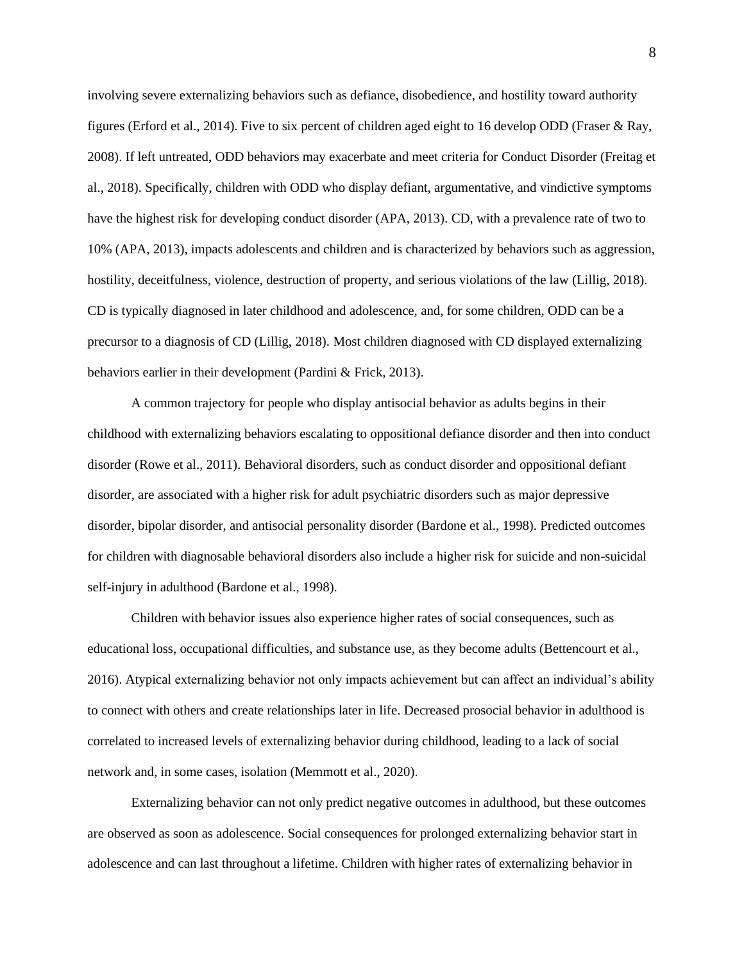involving severe externalizing behaviors such as defiance, disobedience, and hostility toward authority figures (Erford et al., 2014). Five to six percent of children aged eight to 16 develop ODD (Fraser & Ray, 2008). If left untreated, ODD behaviors may exacerbate and meet criteria for Conduct Disorder (Freitag et al., 2018). Specifically, children with ODD who display defiant, argumentative, and vindictive symptoms have the highest risk for developing conduct disorder (APA, 2013). CD, with a prevalence rate of two to 10% (APA, 2013), impacts adolescents and children and is characterized by behaviors such as aggression, hostility, deceitfulness, violence, destruction of property, and serious violations of the law (Lillig, 2018). CD is typically diagnosed in later childhood and adolescence, and, for some children, ODD can be a precursor to a diagnosis of CD (Lillig, 2018). Most children diagnosed with CD displayed externalizing behaviors earlier in their development (Pardini & Frick, 2013).

A common trajectory for people who display antisocial behavior as adults begins in their childhood with externalizing behaviors escalating to oppositional defiance disorder and then into conduct disorder (Rowe et al., 2011). Behavioral disorders, such as conduct disorder and oppositional defiant disorder, are associated with a higher risk for adult psychiatric disorders such as major depressive disorder, bipolar disorder, and antisocial personality disorder (Bardone et al., 1998). Predicted outcomes for children with diagnosable behavioral disorders also include a higher risk for suicide and non-suicidal self-injury in adulthood (Bardone et al., 1998).

Children with behavior issues also experience higher rates of social consequences, such as educational loss, occupational difficulties, and substance use, as they become adults (Bettencourt et al., 2016). Atypical externalizing behavior not only impacts achievement but can affect an individual's ability to connect with others and create relationships later in life. Decreased prosocial behavior in adulthood is correlated to increased levels of externalizing behavior during childhood, leading to a lack of social network and, in some cases, isolation (Memmott et al., 2020).

Externalizing behavior can not only predict negative outcomes in adulthood, but these outcomes are observed as soon as adolescence. Social consequences for prolonged externalizing behavior start in adolescence and can last throughout a lifetime. Children with higher rates of externalizing behavior in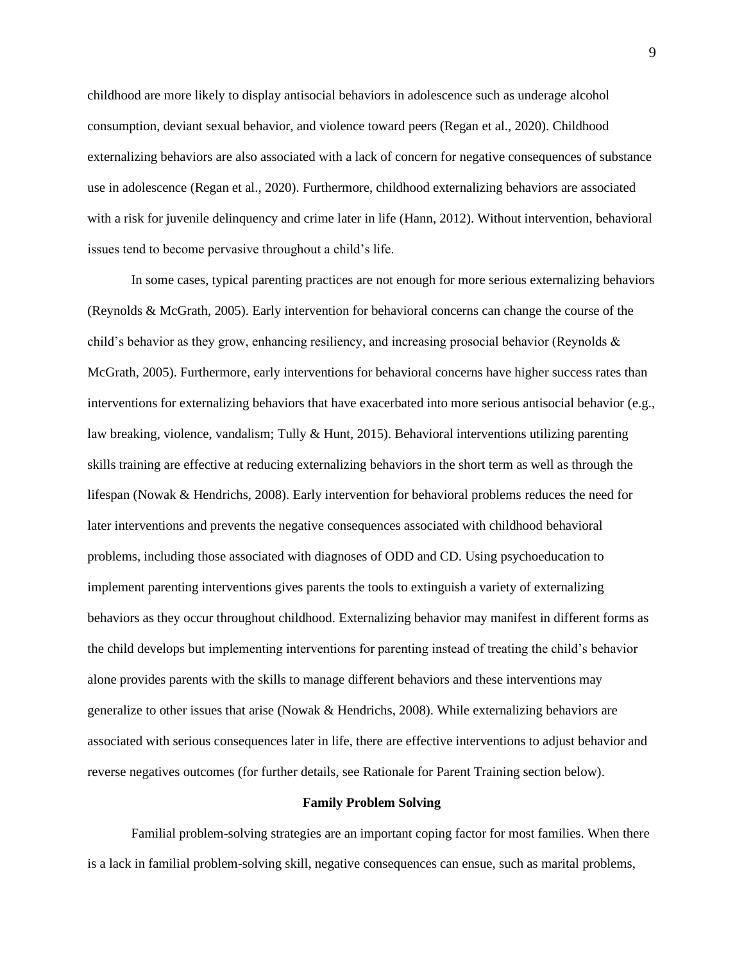childhood are more likely to display antisocial behaviors in adolescence such as underage alcohol consumption, deviant sexual behavior, and violence toward peers (Regan et al., 2020). Childhood externalizing behaviors are also associated with a lack of concern for negative consequences of substance use in adolescence (Regan et al., 2020). Furthermore, childhood externalizing behaviors are associated with a risk for juvenile delinquency and crime later in life (Hann, 2012). Without intervention, behavioral issues tend to become pervasive throughout a child's life.

In some cases, typical parenting practices are not enough for more serious externalizing behaviors (Reynolds & McGrath, 2005). Early intervention for behavioral concerns can change the course of the child's behavior as they grow, enhancing resiliency, and increasing prosocial behavior (Reynolds & McGrath, 2005). Furthermore, early interventions for behavioral concerns have higher success rates than interventions for externalizing behaviors that have exacerbated into more serious antisocial behavior (e.g., law breaking, violence, vandalism; Tully & Hunt, 2015). Behavioral interventions utilizing parenting skills training are effective at reducing externalizing behaviors in the short term as well as through the lifespan (Nowak & Hendrichs, 2008). Early intervention for behavioral problems reduces the need for later interventions and prevents the negative consequences associated with childhood behavioral problems, including those associated with diagnoses of ODD and CD. Using psychoeducation to implement parenting interventions gives parents the tools to extinguish a variety of externalizing behaviors as they occur throughout childhood. Externalizing behavior may manifest in different forms as the child develops but implementing interventions for parenting instead of treating the child's behavior alone provides parents with the skills to manage different behaviors and these interventions may generalize to other issues that arise (Nowak & Hendrichs, 2008). While externalizing behaviors are associated with serious consequences later in life, there are effective interventions to adjust behavior and reverse negatives outcomes (for further details, see Rationale for Parent Training section below).

#### **Family Problem Solving**

Familial problem-solving strategies are an important coping factor for most families. When there is a lack in familial problem-solving skill, negative consequences can ensue, such as marital problems,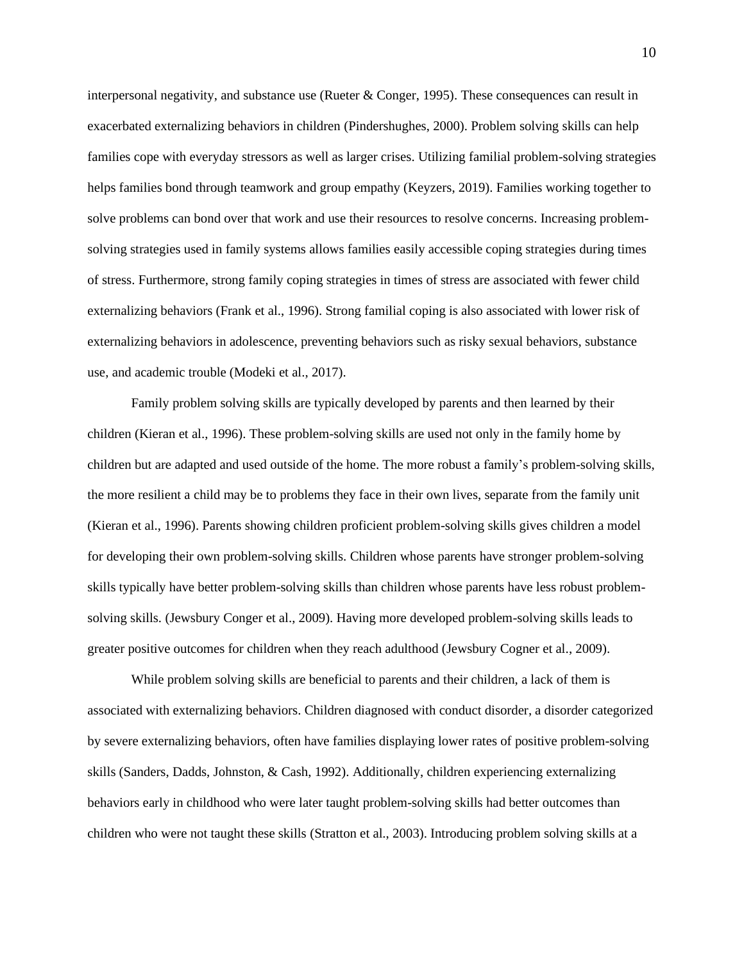interpersonal negativity, and substance use (Rueter & Conger, 1995). These consequences can result in exacerbated externalizing behaviors in children (Pindershughes, 2000). Problem solving skills can help families cope with everyday stressors as well as larger crises. Utilizing familial problem-solving strategies helps families bond through teamwork and group empathy (Keyzers, 2019). Families working together to solve problems can bond over that work and use their resources to resolve concerns. Increasing problemsolving strategies used in family systems allows families easily accessible coping strategies during times of stress. Furthermore, strong family coping strategies in times of stress are associated with fewer child externalizing behaviors (Frank et al., 1996). Strong familial coping is also associated with lower risk of externalizing behaviors in adolescence, preventing behaviors such as risky sexual behaviors, substance use, and academic trouble (Modeki et al., 2017).

Family problem solving skills are typically developed by parents and then learned by their children (Kieran et al., 1996). These problem-solving skills are used not only in the family home by children but are adapted and used outside of the home. The more robust a family's problem-solving skills, the more resilient a child may be to problems they face in their own lives, separate from the family unit (Kieran et al., 1996). Parents showing children proficient problem-solving skills gives children a model for developing their own problem-solving skills. Children whose parents have stronger problem-solving skills typically have better problem-solving skills than children whose parents have less robust problemsolving skills. (Jewsbury Conger et al., 2009). Having more developed problem-solving skills leads to greater positive outcomes for children when they reach adulthood (Jewsbury Cogner et al., 2009).

While problem solving skills are beneficial to parents and their children, a lack of them is associated with externalizing behaviors. Children diagnosed with conduct disorder, a disorder categorized by severe externalizing behaviors, often have families displaying lower rates of positive problem-solving skills (Sanders, Dadds, Johnston, & Cash, 1992). Additionally, children experiencing externalizing behaviors early in childhood who were later taught problem-solving skills had better outcomes than children who were not taught these skills (Stratton et al., 2003). Introducing problem solving skills at a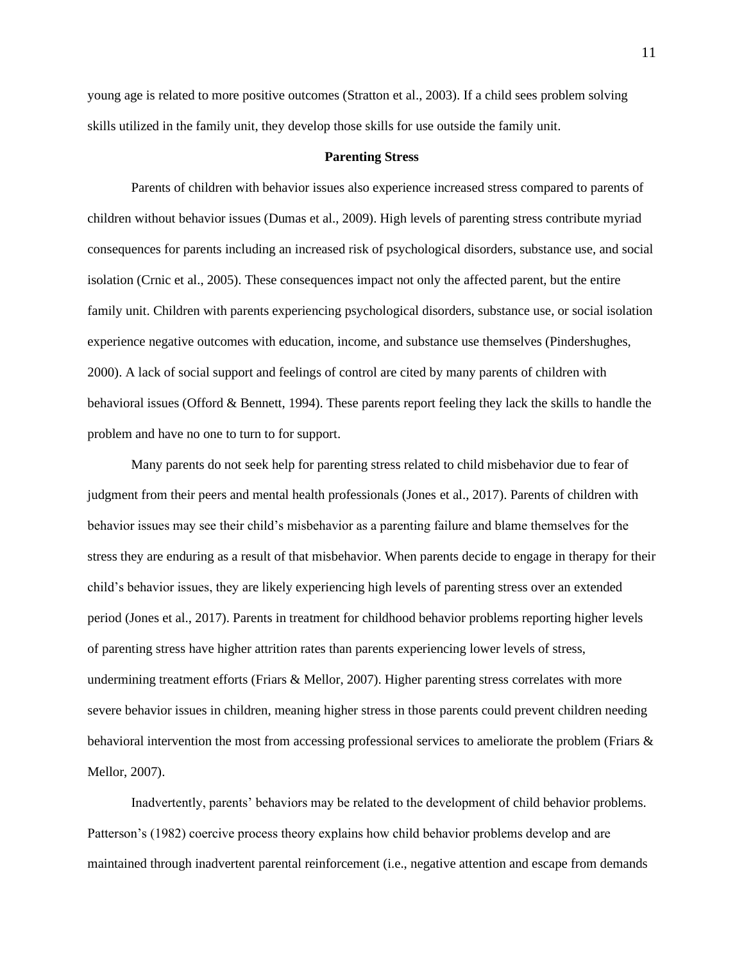young age is related to more positive outcomes (Stratton et al., 2003). If a child sees problem solving skills utilized in the family unit, they develop those skills for use outside the family unit.

#### **Parenting Stress**

Parents of children with behavior issues also experience increased stress compared to parents of children without behavior issues (Dumas et al., 2009). High levels of parenting stress contribute myriad consequences for parents including an increased risk of psychological disorders, substance use, and social isolation (Crnic et al., 2005). These consequences impact not only the affected parent, but the entire family unit. Children with parents experiencing psychological disorders, substance use, or social isolation experience negative outcomes with education, income, and substance use themselves (Pindershughes, 2000). A lack of social support and feelings of control are cited by many parents of children with behavioral issues (Offord & Bennett, 1994). These parents report feeling they lack the skills to handle the problem and have no one to turn to for support.

Many parents do not seek help for parenting stress related to child misbehavior due to fear of judgment from their peers and mental health professionals (Jones et al., 2017). Parents of children with behavior issues may see their child's misbehavior as a parenting failure and blame themselves for the stress they are enduring as a result of that misbehavior. When parents decide to engage in therapy for their child's behavior issues, they are likely experiencing high levels of parenting stress over an extended period (Jones et al., 2017). Parents in treatment for childhood behavior problems reporting higher levels of parenting stress have higher attrition rates than parents experiencing lower levels of stress, undermining treatment efforts (Friars & Mellor, 2007). Higher parenting stress correlates with more severe behavior issues in children, meaning higher stress in those parents could prevent children needing behavioral intervention the most from accessing professional services to ameliorate the problem (Friars & Mellor, 2007).

Inadvertently, parents' behaviors may be related to the development of child behavior problems. Patterson's (1982) coercive process theory explains how child behavior problems develop and are maintained through inadvertent parental reinforcement (i.e., negative attention and escape from demands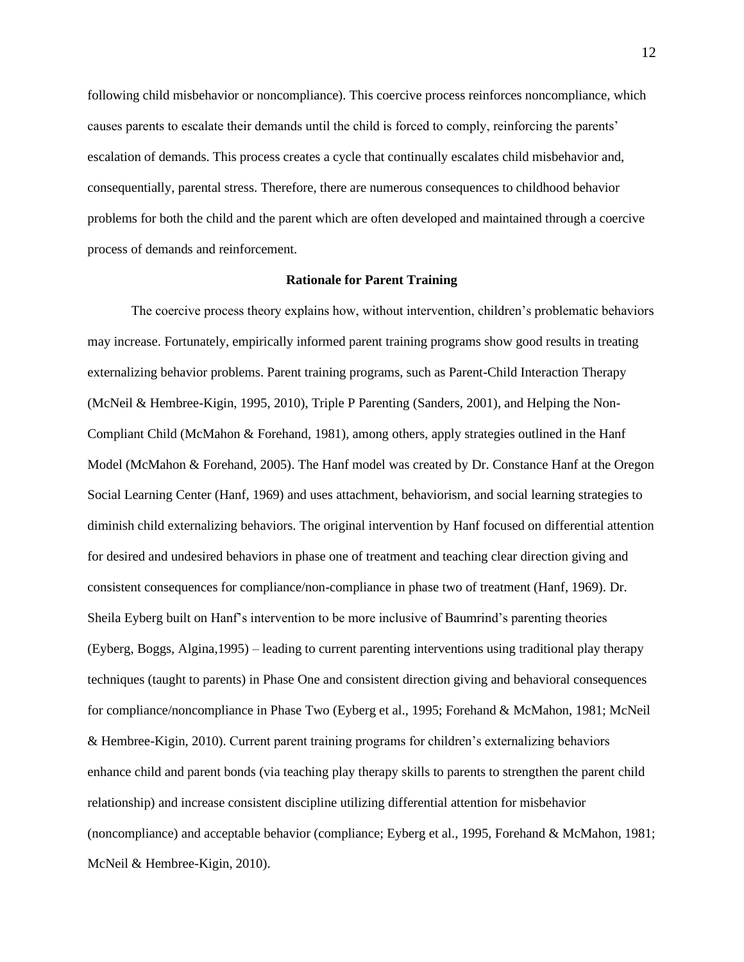following child misbehavior or noncompliance). This coercive process reinforces noncompliance, which causes parents to escalate their demands until the child is forced to comply, reinforcing the parents' escalation of demands. This process creates a cycle that continually escalates child misbehavior and, consequentially, parental stress. Therefore, there are numerous consequences to childhood behavior problems for both the child and the parent which are often developed and maintained through a coercive process of demands and reinforcement.

### **Rationale for Parent Training**

The coercive process theory explains how, without intervention, children's problematic behaviors may increase. Fortunately, empirically informed parent training programs show good results in treating externalizing behavior problems. Parent training programs, such as Parent-Child Interaction Therapy (McNeil & Hembree-Kigin, 1995, 2010), Triple P Parenting (Sanders, 2001), and Helping the Non-Compliant Child (McMahon & Forehand, 1981), among others, apply strategies outlined in the Hanf Model (McMahon & Forehand, 2005). The Hanf model was created by Dr. Constance Hanf at the Oregon Social Learning Center (Hanf, 1969) and uses attachment, behaviorism, and social learning strategies to diminish child externalizing behaviors. The original intervention by Hanf focused on differential attention for desired and undesired behaviors in phase one of treatment and teaching clear direction giving and consistent consequences for compliance/non-compliance in phase two of treatment (Hanf, 1969). Dr. Sheila Eyberg built on Hanf's intervention to be more inclusive of Baumrind's parenting theories (Eyberg, Boggs, Algina,1995) – leading to current parenting interventions using traditional play therapy techniques (taught to parents) in Phase One and consistent direction giving and behavioral consequences for compliance/noncompliance in Phase Two (Eyberg et al., 1995; Forehand & McMahon, 1981; McNeil & Hembree-Kigin, 2010). Current parent training programs for children's externalizing behaviors enhance child and parent bonds (via teaching play therapy skills to parents to strengthen the parent child relationship) and increase consistent discipline utilizing differential attention for misbehavior (noncompliance) and acceptable behavior (compliance; Eyberg et al., 1995, Forehand & McMahon, 1981; McNeil & Hembree-Kigin, 2010).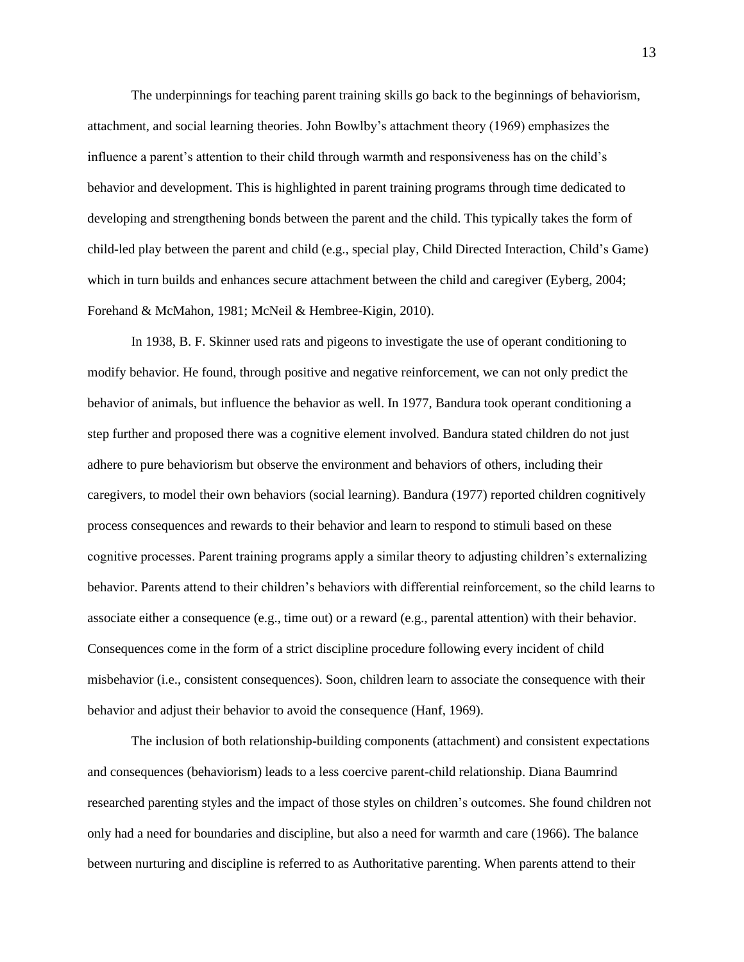The underpinnings for teaching parent training skills go back to the beginnings of behaviorism, attachment, and social learning theories. John Bowlby's attachment theory (1969) emphasizes the influence a parent's attention to their child through warmth and responsiveness has on the child's behavior and development. This is highlighted in parent training programs through time dedicated to developing and strengthening bonds between the parent and the child. This typically takes the form of child-led play between the parent and child (e.g., special play, Child Directed Interaction, Child's Game) which in turn builds and enhances secure attachment between the child and caregiver (Eyberg, 2004; Forehand & McMahon, 1981; McNeil & Hembree-Kigin, 2010).

In 1938, B. F. Skinner used rats and pigeons to investigate the use of operant conditioning to modify behavior. He found, through positive and negative reinforcement, we can not only predict the behavior of animals, but influence the behavior as well. In 1977, Bandura took operant conditioning a step further and proposed there was a cognitive element involved. Bandura stated children do not just adhere to pure behaviorism but observe the environment and behaviors of others, including their caregivers, to model their own behaviors (social learning). Bandura (1977) reported children cognitively process consequences and rewards to their behavior and learn to respond to stimuli based on these cognitive processes. Parent training programs apply a similar theory to adjusting children's externalizing behavior. Parents attend to their children's behaviors with differential reinforcement, so the child learns to associate either a consequence (e.g., time out) or a reward (e.g., parental attention) with their behavior. Consequences come in the form of a strict discipline procedure following every incident of child misbehavior (i.e., consistent consequences). Soon, children learn to associate the consequence with their behavior and adjust their behavior to avoid the consequence (Hanf, 1969).

The inclusion of both relationship-building components (attachment) and consistent expectations and consequences (behaviorism) leads to a less coercive parent-child relationship. Diana Baumrind researched parenting styles and the impact of those styles on children's outcomes. She found children not only had a need for boundaries and discipline, but also a need for warmth and care (1966). The balance between nurturing and discipline is referred to as Authoritative parenting. When parents attend to their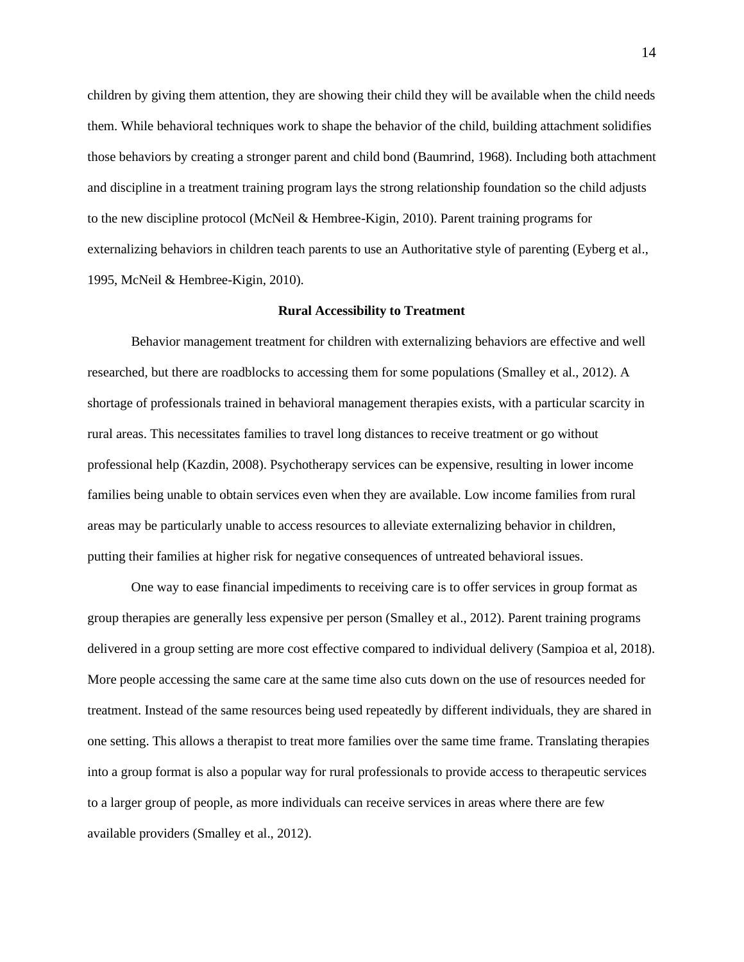children by giving them attention, they are showing their child they will be available when the child needs them. While behavioral techniques work to shape the behavior of the child, building attachment solidifies those behaviors by creating a stronger parent and child bond (Baumrind, 1968). Including both attachment and discipline in a treatment training program lays the strong relationship foundation so the child adjusts to the new discipline protocol (McNeil & Hembree-Kigin, 2010). Parent training programs for externalizing behaviors in children teach parents to use an Authoritative style of parenting (Eyberg et al., 1995, McNeil & Hembree-Kigin, 2010).

#### **Rural Accessibility to Treatment**

Behavior management treatment for children with externalizing behaviors are effective and well researched, but there are roadblocks to accessing them for some populations (Smalley et al., 2012). A shortage of professionals trained in behavioral management therapies exists, with a particular scarcity in rural areas. This necessitates families to travel long distances to receive treatment or go without professional help (Kazdin, 2008). Psychotherapy services can be expensive, resulting in lower income families being unable to obtain services even when they are available. Low income families from rural areas may be particularly unable to access resources to alleviate externalizing behavior in children, putting their families at higher risk for negative consequences of untreated behavioral issues.

One way to ease financial impediments to receiving care is to offer services in group format as group therapies are generally less expensive per person (Smalley et al., 2012). Parent training programs delivered in a group setting are more cost effective compared to individual delivery (Sampioa et al, 2018). More people accessing the same care at the same time also cuts down on the use of resources needed for treatment. Instead of the same resources being used repeatedly by different individuals, they are shared in one setting. This allows a therapist to treat more families over the same time frame. Translating therapies into a group format is also a popular way for rural professionals to provide access to therapeutic services to a larger group of people, as more individuals can receive services in areas where there are few available providers (Smalley et al., 2012).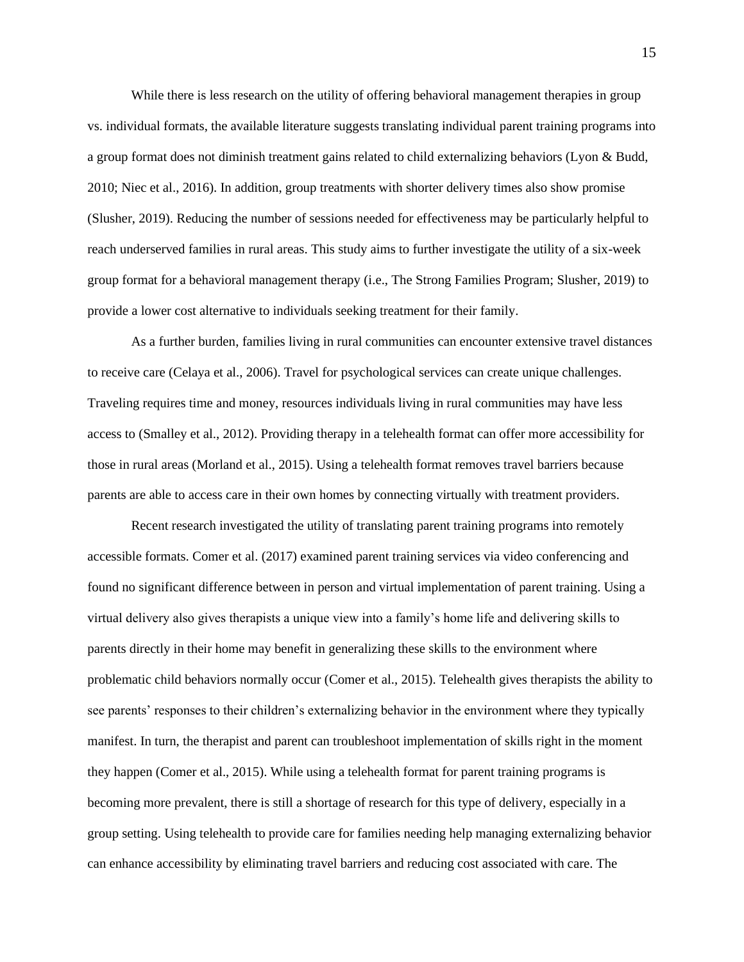While there is less research on the utility of offering behavioral management therapies in group vs. individual formats, the available literature suggests translating individual parent training programs into a group format does not diminish treatment gains related to child externalizing behaviors (Lyon & Budd, 2010; Niec et al., 2016). In addition, group treatments with shorter delivery times also show promise (Slusher, 2019). Reducing the number of sessions needed for effectiveness may be particularly helpful to reach underserved families in rural areas. This study aims to further investigate the utility of a six-week group format for a behavioral management therapy (i.e., The Strong Families Program; Slusher, 2019) to provide a lower cost alternative to individuals seeking treatment for their family.

As a further burden, families living in rural communities can encounter extensive travel distances to receive care (Celaya et al., 2006). Travel for psychological services can create unique challenges. Traveling requires time and money, resources individuals living in rural communities may have less access to (Smalley et al., 2012). Providing therapy in a telehealth format can offer more accessibility for those in rural areas (Morland et al., 2015). Using a telehealth format removes travel barriers because parents are able to access care in their own homes by connecting virtually with treatment providers.

Recent research investigated the utility of translating parent training programs into remotely accessible formats. Comer et al. (2017) examined parent training services via video conferencing and found no significant difference between in person and virtual implementation of parent training. Using a virtual delivery also gives therapists a unique view into a family's home life and delivering skills to parents directly in their home may benefit in generalizing these skills to the environment where problematic child behaviors normally occur (Comer et al., 2015). Telehealth gives therapists the ability to see parents' responses to their children's externalizing behavior in the environment where they typically manifest. In turn, the therapist and parent can troubleshoot implementation of skills right in the moment they happen (Comer et al., 2015). While using a telehealth format for parent training programs is becoming more prevalent, there is still a shortage of research for this type of delivery, especially in a group setting. Using telehealth to provide care for families needing help managing externalizing behavior can enhance accessibility by eliminating travel barriers and reducing cost associated with care. The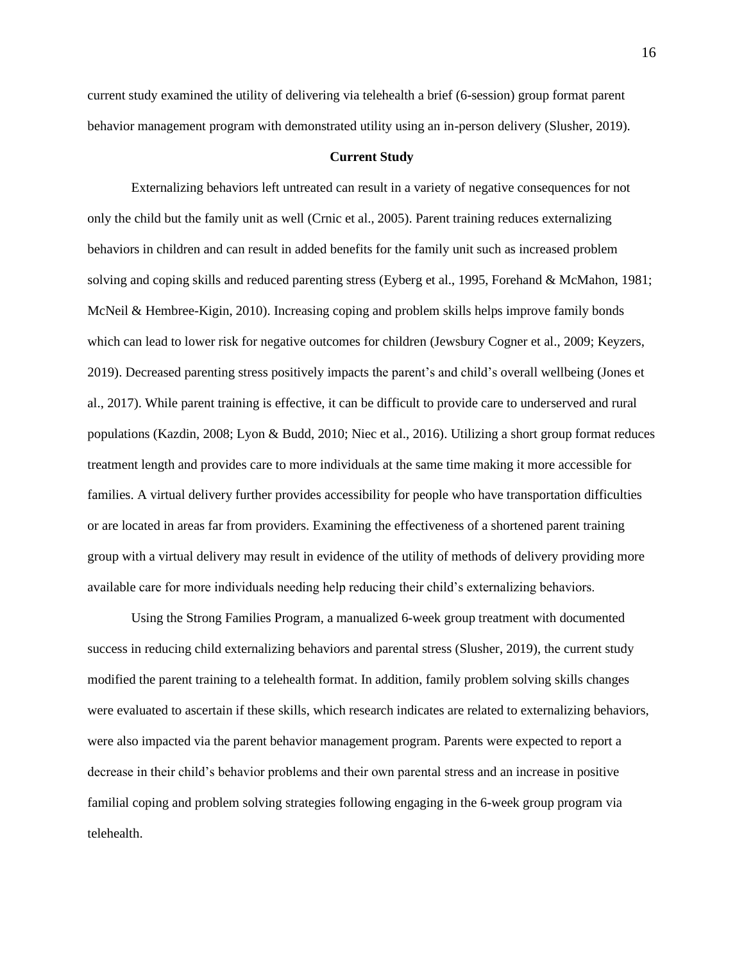current study examined the utility of delivering via telehealth a brief (6-session) group format parent behavior management program with demonstrated utility using an in-person delivery (Slusher, 2019).

## **Current Study**

Externalizing behaviors left untreated can result in a variety of negative consequences for not only the child but the family unit as well (Crnic et al., 2005). Parent training reduces externalizing behaviors in children and can result in added benefits for the family unit such as increased problem solving and coping skills and reduced parenting stress (Eyberg et al., 1995, Forehand & McMahon, 1981; McNeil & Hembree-Kigin, 2010). Increasing coping and problem skills helps improve family bonds which can lead to lower risk for negative outcomes for children (Jewsbury Cogner et al., 2009; Keyzers, 2019). Decreased parenting stress positively impacts the parent's and child's overall wellbeing (Jones et al., 2017). While parent training is effective, it can be difficult to provide care to underserved and rural populations (Kazdin, 2008; Lyon & Budd, 2010; Niec et al., 2016). Utilizing a short group format reduces treatment length and provides care to more individuals at the same time making it more accessible for families. A virtual delivery further provides accessibility for people who have transportation difficulties or are located in areas far from providers. Examining the effectiveness of a shortened parent training group with a virtual delivery may result in evidence of the utility of methods of delivery providing more available care for more individuals needing help reducing their child's externalizing behaviors.

Using the Strong Families Program, a manualized 6-week group treatment with documented success in reducing child externalizing behaviors and parental stress (Slusher, 2019), the current study modified the parent training to a telehealth format. In addition, family problem solving skills changes were evaluated to ascertain if these skills, which research indicates are related to externalizing behaviors, were also impacted via the parent behavior management program. Parents were expected to report a decrease in their child's behavior problems and their own parental stress and an increase in positive familial coping and problem solving strategies following engaging in the 6-week group program via telehealth.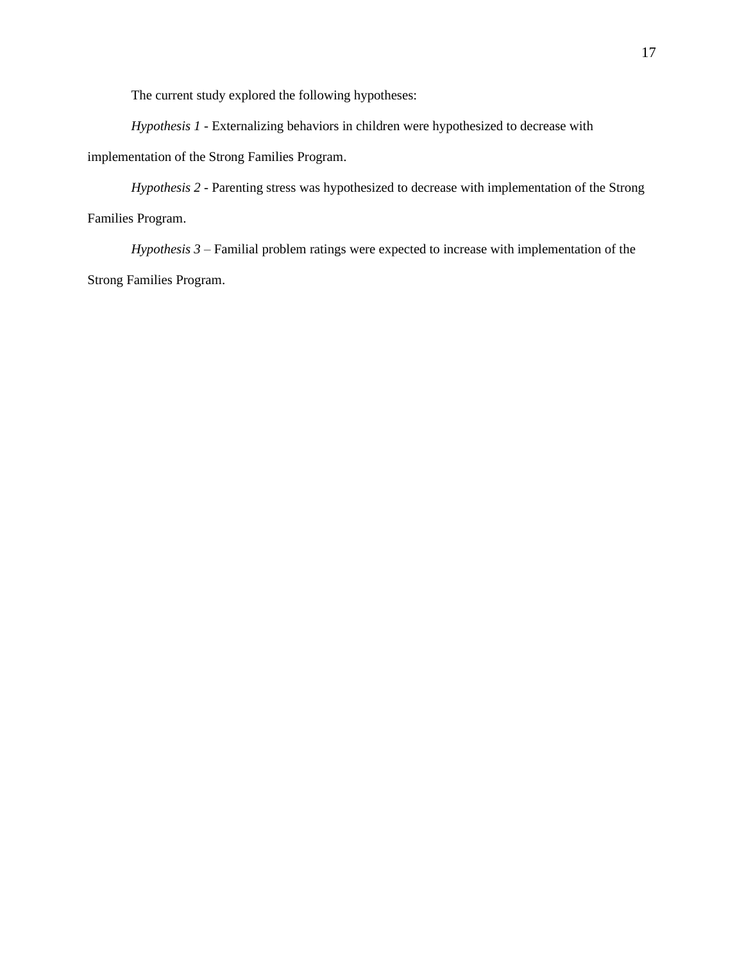The current study explored the following hypotheses:

*Hypothesis 1 -* Externalizing behaviors in children were hypothesized to decrease with implementation of the Strong Families Program.

*Hypothesis 2 -* Parenting stress was hypothesized to decrease with implementation of the Strong Families Program.

*Hypothesis 3* – Familial problem ratings were expected to increase with implementation of the Strong Families Program.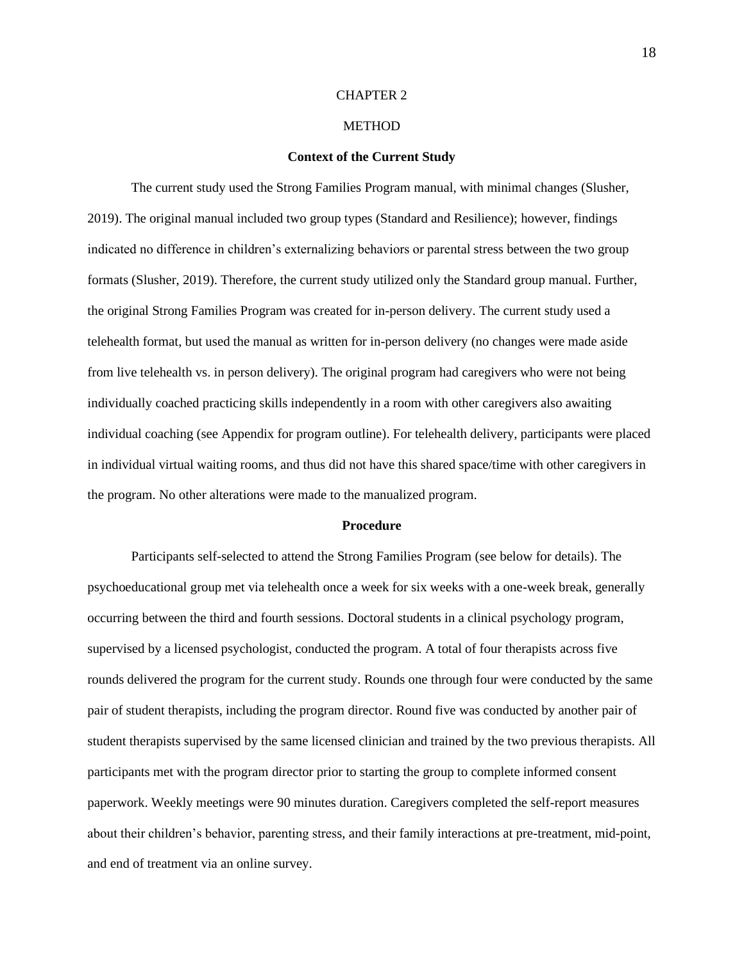#### CHAPTER 2

# METHOD

#### **Context of the Current Study**

The current study used the Strong Families Program manual, with minimal changes (Slusher, 2019). The original manual included two group types (Standard and Resilience); however, findings indicated no difference in children's externalizing behaviors or parental stress between the two group formats (Slusher, 2019). Therefore, the current study utilized only the Standard group manual. Further, the original Strong Families Program was created for in-person delivery. The current study used a telehealth format, but used the manual as written for in-person delivery (no changes were made aside from live telehealth vs. in person delivery). The original program had caregivers who were not being individually coached practicing skills independently in a room with other caregivers also awaiting individual coaching (see Appendix for program outline). For telehealth delivery, participants were placed in individual virtual waiting rooms, and thus did not have this shared space/time with other caregivers in the program. No other alterations were made to the manualized program.

#### **Procedure**

Participants self-selected to attend the Strong Families Program (see below for details). The psychoeducational group met via telehealth once a week for six weeks with a one-week break, generally occurring between the third and fourth sessions. Doctoral students in a clinical psychology program, supervised by a licensed psychologist, conducted the program. A total of four therapists across five rounds delivered the program for the current study. Rounds one through four were conducted by the same pair of student therapists, including the program director. Round five was conducted by another pair of student therapists supervised by the same licensed clinician and trained by the two previous therapists. All participants met with the program director prior to starting the group to complete informed consent paperwork. Weekly meetings were 90 minutes duration. Caregivers completed the self-report measures about their children's behavior, parenting stress, and their family interactions at pre-treatment, mid-point, and end of treatment via an online survey.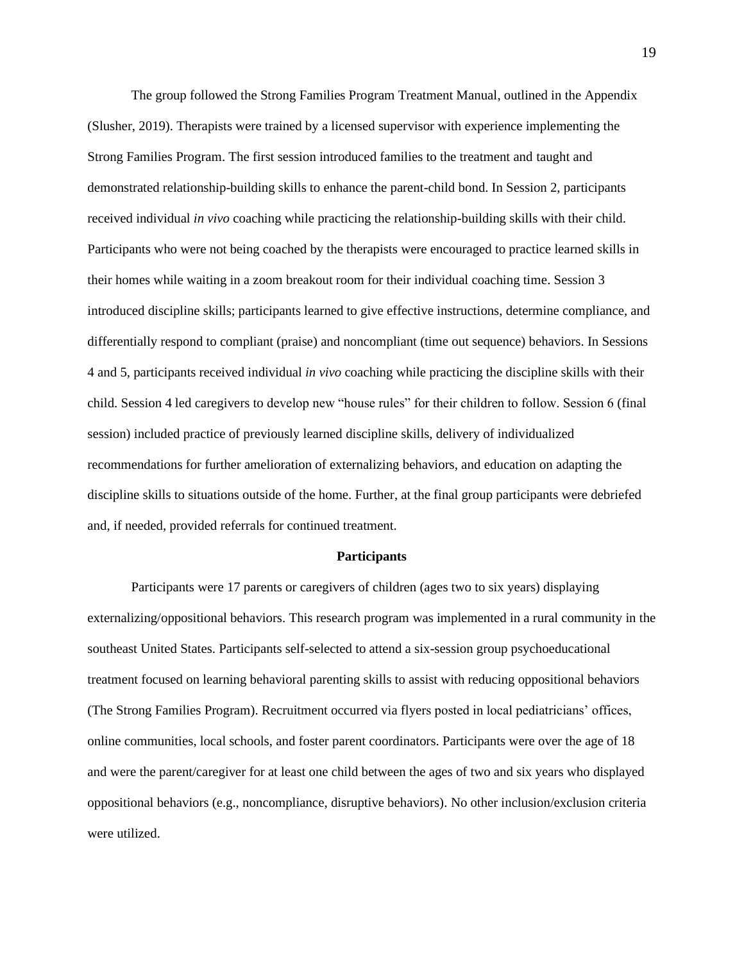The group followed the Strong Families Program Treatment Manual, outlined in the Appendix (Slusher, 2019). Therapists were trained by a licensed supervisor with experience implementing the Strong Families Program. The first session introduced families to the treatment and taught and demonstrated relationship-building skills to enhance the parent-child bond. In Session 2, participants received individual *in vivo* coaching while practicing the relationship-building skills with their child. Participants who were not being coached by the therapists were encouraged to practice learned skills in their homes while waiting in a zoom breakout room for their individual coaching time. Session 3 introduced discipline skills; participants learned to give effective instructions, determine compliance, and differentially respond to compliant (praise) and noncompliant (time out sequence) behaviors. In Sessions 4 and 5, participants received individual *in vivo* coaching while practicing the discipline skills with their child. Session 4 led caregivers to develop new "house rules" for their children to follow. Session 6 (final session) included practice of previously learned discipline skills, delivery of individualized recommendations for further amelioration of externalizing behaviors, and education on adapting the discipline skills to situations outside of the home. Further, at the final group participants were debriefed and, if needed, provided referrals for continued treatment.

#### **Participants**

Participants were 17 parents or caregivers of children (ages two to six years) displaying externalizing/oppositional behaviors. This research program was implemented in a rural community in the southeast United States. Participants self-selected to attend a six-session group psychoeducational treatment focused on learning behavioral parenting skills to assist with reducing oppositional behaviors (The Strong Families Program). Recruitment occurred via flyers posted in local pediatricians' offices, online communities, local schools, and foster parent coordinators. Participants were over the age of 18 and were the parent/caregiver for at least one child between the ages of two and six years who displayed oppositional behaviors (e.g., noncompliance, disruptive behaviors). No other inclusion/exclusion criteria were utilized.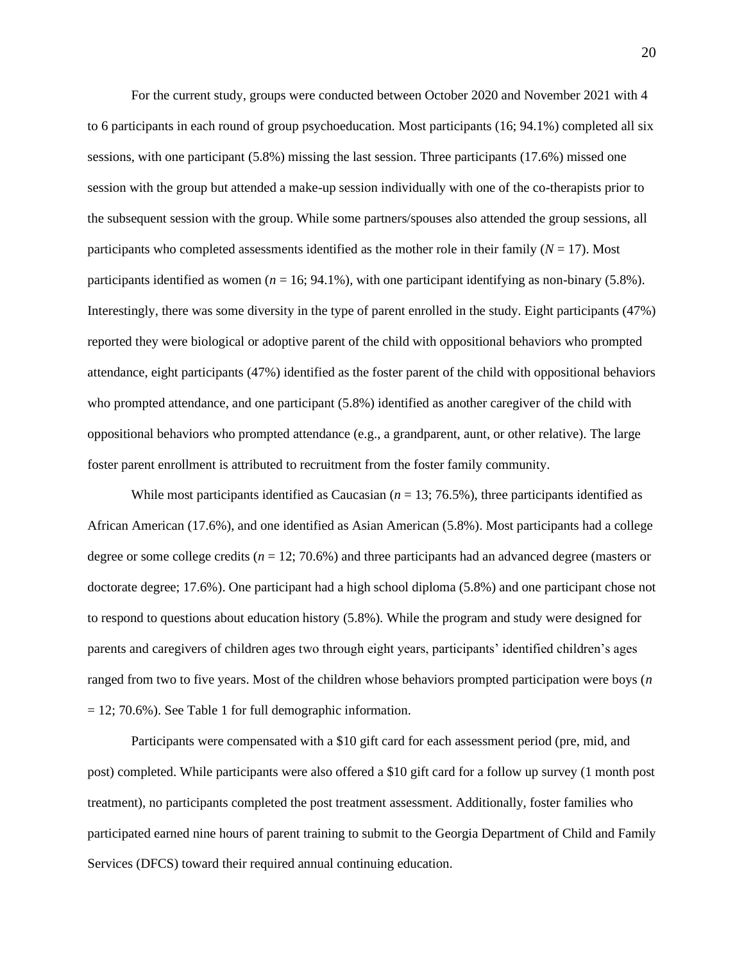For the current study, groups were conducted between October 2020 and November 2021 with 4 to 6 participants in each round of group psychoeducation. Most participants (16; 94.1%) completed all six sessions, with one participant (5.8%) missing the last session. Three participants (17.6%) missed one session with the group but attended a make-up session individually with one of the co-therapists prior to the subsequent session with the group. While some partners/spouses also attended the group sessions, all participants who completed assessments identified as the mother role in their family  $(N = 17)$ . Most participants identified as women  $(n = 16; 94.1\%)$ , with one participant identifying as non-binary (5.8%). Interestingly, there was some diversity in the type of parent enrolled in the study. Eight participants (47%) reported they were biological or adoptive parent of the child with oppositional behaviors who prompted attendance, eight participants (47%) identified as the foster parent of the child with oppositional behaviors who prompted attendance, and one participant (5.8%) identified as another caregiver of the child with oppositional behaviors who prompted attendance (e.g., a grandparent, aunt, or other relative). The large foster parent enrollment is attributed to recruitment from the foster family community.

While most participants identified as Caucasian  $(n = 13; 76.5\%)$ , three participants identified as African American (17.6%), and one identified as Asian American (5.8%). Most participants had a college degree or some college credits (*n* = 12; 70.6%) and three participants had an advanced degree (masters or doctorate degree; 17.6%). One participant had a high school diploma (5.8%) and one participant chose not to respond to questions about education history (5.8%). While the program and study were designed for parents and caregivers of children ages two through eight years, participants' identified children's ages ranged from two to five years. Most of the children whose behaviors prompted participation were boys (*n*  $= 12$ ; 70.6%). See Table 1 for full demographic information.

Participants were compensated with a \$10 gift card for each assessment period (pre, mid, and post) completed. While participants were also offered a \$10 gift card for a follow up survey (1 month post treatment), no participants completed the post treatment assessment. Additionally, foster families who participated earned nine hours of parent training to submit to the Georgia Department of Child and Family Services (DFCS) toward their required annual continuing education.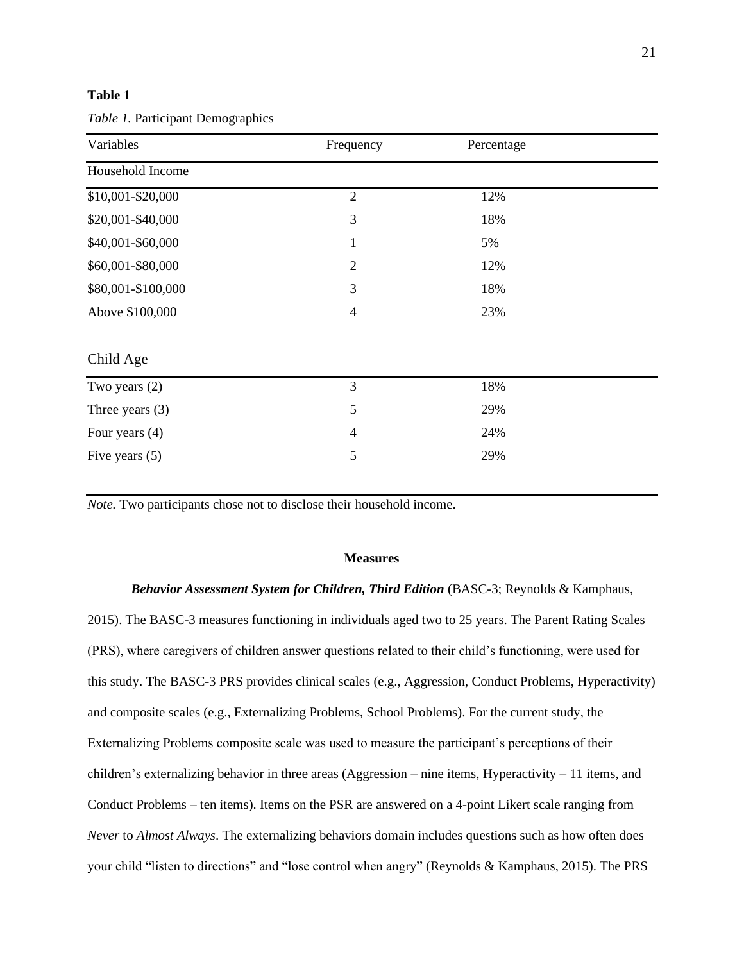# **Table 1**

| Variables          | Frequency      | Percentage |  |
|--------------------|----------------|------------|--|
| Household Income   |                |            |  |
| \$10,001-\$20,000  | $\overline{2}$ | 12%        |  |
| \$20,001-\$40,000  | 3              | 18%        |  |
| \$40,001-\$60,000  | $\mathbf{1}$   | 5%         |  |
| \$60,001-\$80,000  | $\overline{2}$ | 12%        |  |
| \$80,001-\$100,000 | 3              | 18%        |  |
| Above \$100,000    | $\overline{4}$ | 23%        |  |
| Child Age          |                |            |  |
| Two years (2)      | 3              | 18%        |  |
| Three years $(3)$  | 5              | 29%        |  |
| Four years $(4)$   | 4              | 24%        |  |
| Five years $(5)$   | 5              | 29%        |  |

*Note.* Two participants chose not to disclose their household income.

#### **Measures**

*Behavior Assessment System for Children, Third Edition* (BASC-3; Reynolds & Kamphaus, 2015). The BASC-3 measures functioning in individuals aged two to 25 years. The Parent Rating Scales (PRS), where caregivers of children answer questions related to their child's functioning, were used for this study. The BASC-3 PRS provides clinical scales (e.g., Aggression, Conduct Problems, Hyperactivity) and composite scales (e.g., Externalizing Problems, School Problems). For the current study, the Externalizing Problems composite scale was used to measure the participant's perceptions of their children's externalizing behavior in three areas (Aggression – nine items, Hyperactivity – 11 items, and Conduct Problems – ten items). Items on the PSR are answered on a 4-point Likert scale ranging from *Never* to *Almost Always*. The externalizing behaviors domain includes questions such as how often does your child "listen to directions" and "lose control when angry" (Reynolds & Kamphaus, 2015). The PRS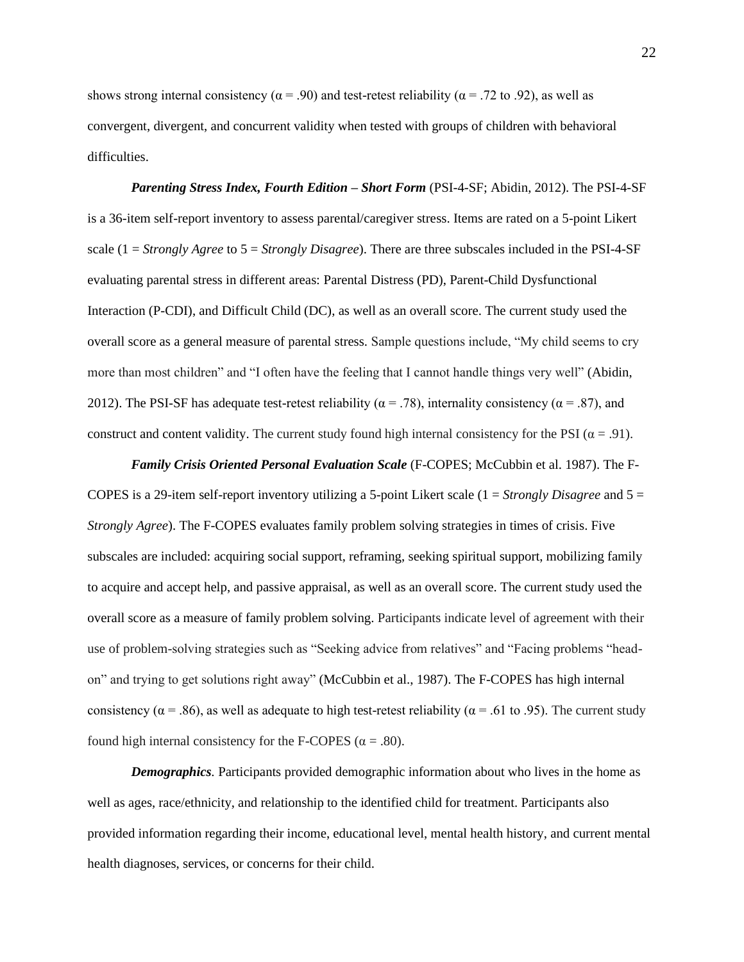shows strong internal consistency ( $\alpha$  = .90) and test-retest reliability ( $\alpha$  = .72 to .92), as well as convergent, divergent, and concurrent validity when tested with groups of children with behavioral difficulties.

*Parenting Stress Index, Fourth Edition – Short Form* (PSI-4-SF; Abidin, 2012). The PSI-4-SF is a 36-item self-report inventory to assess parental/caregiver stress. Items are rated on a 5-point Likert scale (1 = *Strongly Agree* to 5 = *Strongly Disagree*). There are three subscales included in the PSI-4-SF evaluating parental stress in different areas: Parental Distress (PD), Parent-Child Dysfunctional Interaction (P-CDI), and Difficult Child (DC), as well as an overall score. The current study used the overall score as a general measure of parental stress. Sample questions include, "My child seems to cry more than most children" and "I often have the feeling that I cannot handle things very well" (Abidin, 2012). The PSI-SF has adequate test-retest reliability ( $\alpha$  = .78), internality consistency ( $\alpha$  = .87), and construct and content validity. The current study found high internal consistency for the PSI ( $\alpha$  = .91).

*Family Crisis Oriented Personal Evaluation Scale* (F-COPES; McCubbin et al. 1987). The F-COPES is a 29-item self-report inventory utilizing a 5-point Likert scale (1 = *Strongly Disagree* and 5 = *Strongly Agree*). The F-COPES evaluates family problem solving strategies in times of crisis. Five subscales are included: acquiring social support, reframing, seeking spiritual support, mobilizing family to acquire and accept help, and passive appraisal, as well as an overall score. The current study used the overall score as a measure of family problem solving. Participants indicate level of agreement with their use of problem-solving strategies such as "Seeking advice from relatives" and "Facing problems "headon" and trying to get solutions right away" (McCubbin et al., 1987). The F-COPES has high internal consistency ( $\alpha$  = .86), as well as adequate to high test-retest reliability ( $\alpha$  = .61 to .95). The current study found high internal consistency for the F-COPES ( $\alpha = .80$ ).

*Demographics.* Participants provided demographic information about who lives in the home as well as ages, race/ethnicity, and relationship to the identified child for treatment. Participants also provided information regarding their income, educational level, mental health history, and current mental health diagnoses, services, or concerns for their child.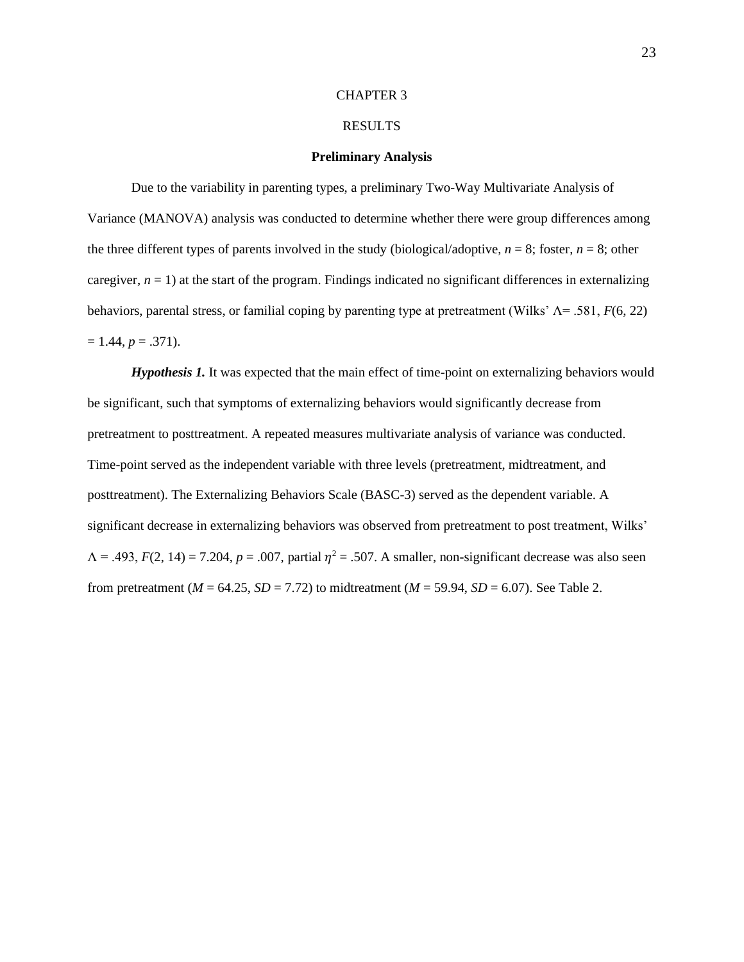## CHAPTER 3

# RESULTS

#### **Preliminary Analysis**

Due to the variability in parenting types, a preliminary Two-Way Multivariate Analysis of Variance (MANOVA) analysis was conducted to determine whether there were group differences among the three different types of parents involved in the study (biological/adoptive,  $n = 8$ ; foster,  $n = 8$ ; other caregiver,  $n = 1$ ) at the start of the program. Findings indicated no significant differences in externalizing behaviors, parental stress, or familial coping by parenting type at pretreatment (Wilks' Λ= .581, *F*(6, 22)  $= 1.44, p = .371$ .

*Hypothesis 1.* It was expected that the main effect of time-point on externalizing behaviors would be significant, such that symptoms of externalizing behaviors would significantly decrease from pretreatment to posttreatment. A repeated measures multivariate analysis of variance was conducted. Time-point served as the independent variable with three levels (pretreatment, midtreatment, and posttreatment). The Externalizing Behaviors Scale (BASC-3) served as the dependent variable. A significant decrease in externalizing behaviors was observed from pretreatment to post treatment, Wilks'  $\Lambda$  = .493,  $F(2, 14)$  = 7.204,  $p = .007$ , partial  $\eta^2$  = .507. A smaller, non-significant decrease was also seen from pretreatment ( $M = 64.25$ ,  $SD = 7.72$ ) to midtreatment ( $M = 59.94$ ,  $SD = 6.07$ ). See Table 2.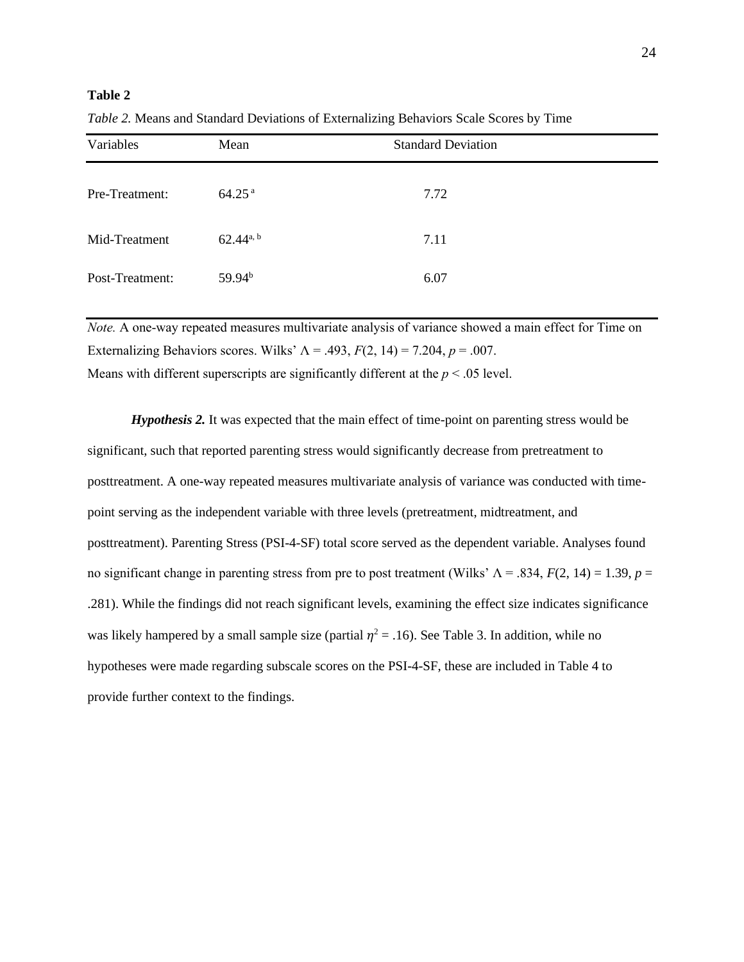# **Table 2**

| Variables       | Mean                 | <b>Standard Deviation</b> |
|-----------------|----------------------|---------------------------|
| Pre-Treatment:  | $64.25$ <sup>a</sup> | 7.72                      |
| Mid-Treatment   | $62.44^{a, b}$       | 7.11                      |
| Post-Treatment: | $59.94^{b}$          | 6.07                      |

*Table 2.* Means and Standard Deviations of Externalizing Behaviors Scale Scores by Time

*Note.* A one-way repeated measures multivariate analysis of variance showed a main effect for Time on Externalizing Behaviors scores. Wilks'  $\Lambda = .493$ ,  $F(2, 14) = 7.204$ ,  $p = .007$ . Means with different superscripts are significantly different at the  $p < .05$  level.

*Hypothesis 2.* It was expected that the main effect of time-point on parenting stress would be significant, such that reported parenting stress would significantly decrease from pretreatment to posttreatment. A one-way repeated measures multivariate analysis of variance was conducted with timepoint serving as the independent variable with three levels (pretreatment, midtreatment, and posttreatment). Parenting Stress (PSI-4-SF) total score served as the dependent variable. Analyses found no significant change in parenting stress from pre to post treatment (Wilks' Λ = .834, *F*(2, 14) = 1.39, *p* = .281). While the findings did not reach significant levels, examining the effect size indicates significance was likely hampered by a small sample size (partial  $\eta^2 = .16$ ). See Table 3. In addition, while no hypotheses were made regarding subscale scores on the PSI-4-SF, these are included in Table 4 to provide further context to the findings.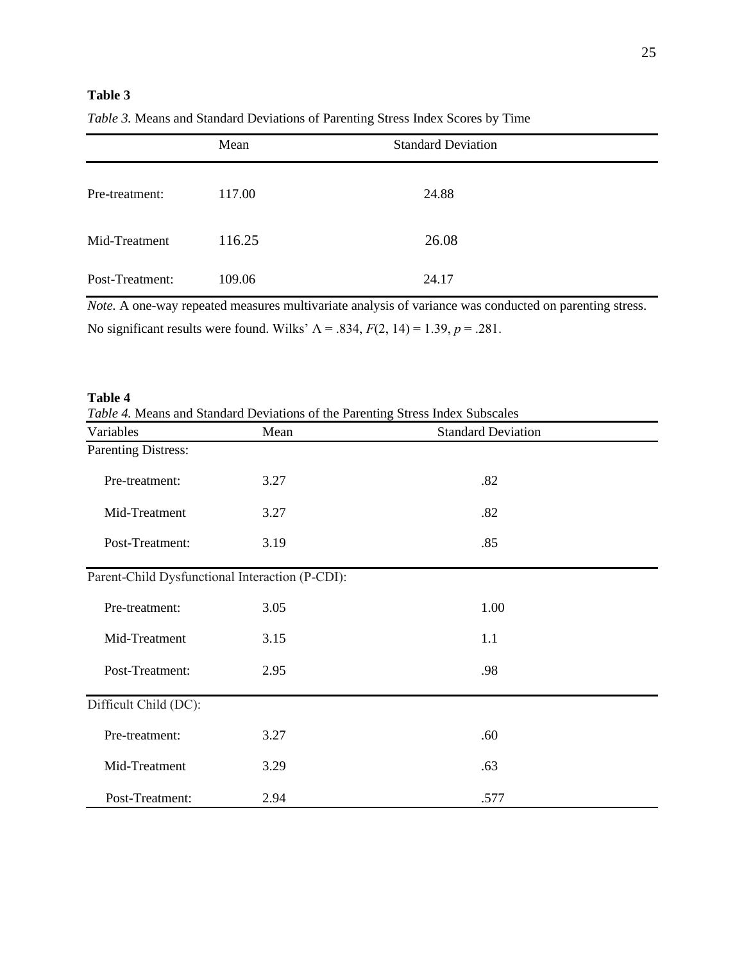# **Table 3**

|                 | Mean   | <b>Standard Deviation</b> |
|-----------------|--------|---------------------------|
| Pre-treatment:  | 117.00 | 24.88                     |
| Mid-Treatment   | 116.25 | 26.08                     |
| Post-Treatment: | 109.06 | 24.17                     |

*Table 3.* Means and Standard Deviations of Parenting Stress Index Scores by Time

*Note.* A one-way repeated measures multivariate analysis of variance was conducted on parenting stress.

No significant results were found. Wilks' Λ = .834, *F*(2, 14) = 1.39, *p* = .281.

## **Table 4**

*Table 4.* Means and Standard Deviations of the Parenting Stress Index Subscales

| Variables                                       | Mean | <b>Standard Deviation</b> |  |
|-------------------------------------------------|------|---------------------------|--|
| <b>Parenting Distress:</b>                      |      |                           |  |
| Pre-treatment:                                  | 3.27 | .82                       |  |
| Mid-Treatment                                   | 3.27 | .82                       |  |
| Post-Treatment:                                 | 3.19 | .85                       |  |
| Parent-Child Dysfunctional Interaction (P-CDI): |      |                           |  |
| Pre-treatment:                                  | 3.05 | 1.00                      |  |
| Mid-Treatment                                   | 3.15 | 1.1                       |  |
| Post-Treatment:                                 | 2.95 | .98                       |  |
| Difficult Child (DC):                           |      |                           |  |
| Pre-treatment:                                  | 3.27 | .60                       |  |
| Mid-Treatment                                   | 3.29 | .63                       |  |
| Post-Treatment:                                 | 2.94 | .577                      |  |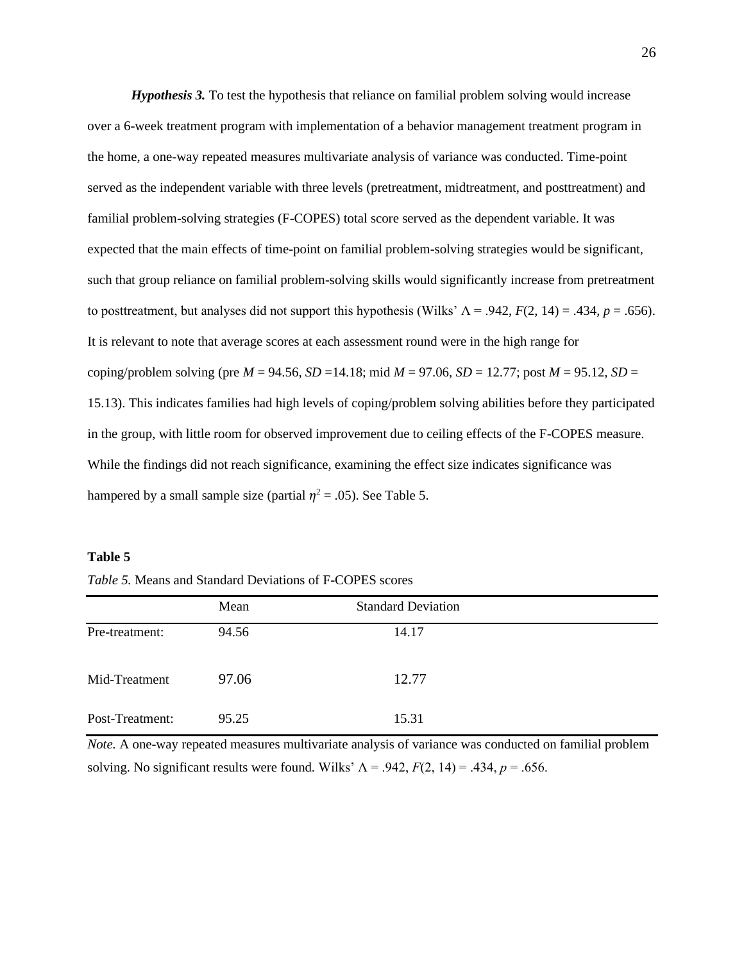*Hypothesis 3.* To test the hypothesis that reliance on familial problem solving would increase over a 6-week treatment program with implementation of a behavior management treatment program in the home, a one-way repeated measures multivariate analysis of variance was conducted. Time-point served as the independent variable with three levels (pretreatment, midtreatment, and posttreatment) and familial problem-solving strategies (F-COPES) total score served as the dependent variable. It was expected that the main effects of time-point on familial problem-solving strategies would be significant, such that group reliance on familial problem-solving skills would significantly increase from pretreatment to posttreatment, but analyses did not support this hypothesis (Wilks'  $\Lambda = .942$ ,  $F(2, 14) = .434$ ,  $p = .656$ ). It is relevant to note that average scores at each assessment round were in the high range for coping/problem solving (pre  $M = 94.56$ ,  $SD = 14.18$ ; mid  $M = 97.06$ ,  $SD = 12.77$ ; post  $M = 95.12$ ,  $SD =$ 15.13). This indicates families had high levels of coping/problem solving abilities before they participated in the group, with little room for observed improvement due to ceiling effects of the F-COPES measure. While the findings did not reach significance, examining the effect size indicates significance was hampered by a small sample size (partial  $\eta^2 = .05$ ). See Table 5.

# **Table 5**

*Table 5.* Means and Standard Deviations of F-COPES scores

|                 | Mean  | <b>Standard Deviation</b> |
|-----------------|-------|---------------------------|
| Pre-treatment:  | 94.56 | 14.17                     |
| Mid-Treatment   | 97.06 | 12.77                     |
| Post-Treatment: | 95.25 | 15.31                     |

*Note.* A one-way repeated measures multivariate analysis of variance was conducted on familial problem solving. No significant results were found. Wilks'  $\Lambda = .942$ ,  $F(2, 14) = .434$ ,  $p = .656$ .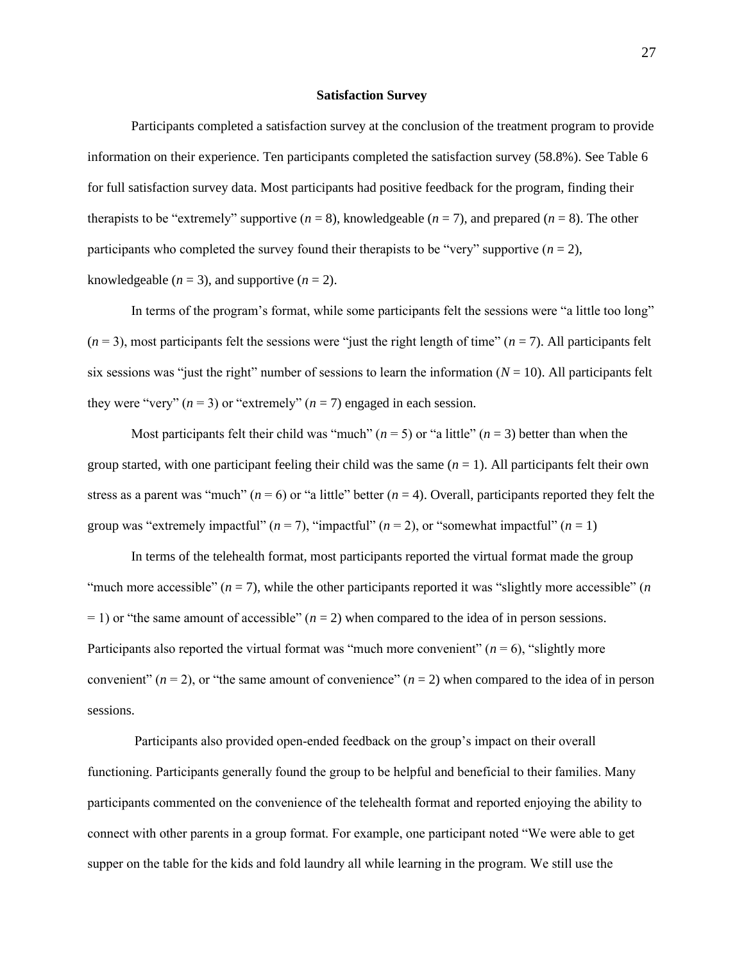#### **Satisfaction Survey**

Participants completed a satisfaction survey at the conclusion of the treatment program to provide information on their experience. Ten participants completed the satisfaction survey (58.8%). See Table 6 for full satisfaction survey data. Most participants had positive feedback for the program, finding their therapists to be "extremely" supportive  $(n = 8)$ , knowledgeable  $(n = 7)$ , and prepared  $(n = 8)$ . The other participants who completed the survey found their therapists to be "very" supportive  $(n = 2)$ , knowledgeable  $(n = 3)$ , and supportive  $(n = 2)$ .

In terms of the program's format, while some participants felt the sessions were "a little too long"  $(n=3)$ , most participants felt the sessions were "just the right length of time"  $(n=7)$ . All participants felt six sessions was "just the right" number of sessions to learn the information  $(N = 10)$ . All participants felt they were "very"  $(n = 3)$  or "extremely"  $(n = 7)$  engaged in each session.

Most participants felt their child was "much" ( $n = 5$ ) or "a little" ( $n = 3$ ) better than when the group started, with one participant feeling their child was the same  $(n = 1)$ . All participants felt their own stress as a parent was "much" ( $n = 6$ ) or "a little" better ( $n = 4$ ). Overall, participants reported they felt the group was "extremely impactful"  $(n = 7)$ , "impactful"  $(n = 2)$ , or "somewhat impactful"  $(n = 1)$ 

In terms of the telehealth format, most participants reported the virtual format made the group "much more accessible"  $(n = 7)$ , while the other participants reported it was "slightly more accessible"  $(n = 1)$  $= 1$ ) or "the same amount of accessible" ( $n = 2$ ) when compared to the idea of in person sessions. Participants also reported the virtual format was "much more convenient" ( $n = 6$ ), "slightly more convenient"  $(n = 2)$ , or "the same amount of convenience"  $(n = 2)$  when compared to the idea of in person sessions.

Participants also provided open-ended feedback on the group's impact on their overall functioning. Participants generally found the group to be helpful and beneficial to their families. Many participants commented on the convenience of the telehealth format and reported enjoying the ability to connect with other parents in a group format. For example, one participant noted "We were able to get supper on the table for the kids and fold laundry all while learning in the program. We still use the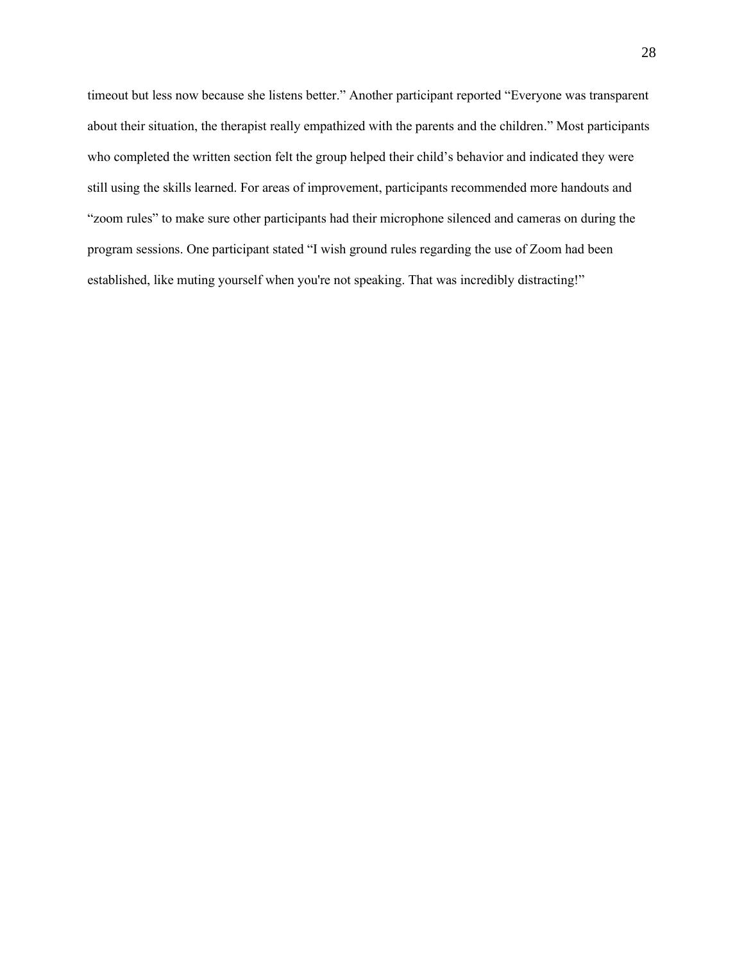timeout but less now because she listens better." Another participant reported "Everyone was transparent about their situation, the therapist really empathized with the parents and the children." Most participants who completed the written section felt the group helped their child's behavior and indicated they were still using the skills learned. For areas of improvement, participants recommended more handouts and "zoom rules" to make sure other participants had their microphone silenced and cameras on during the program sessions. One participant stated "I wish ground rules regarding the use of Zoom had been established, like muting yourself when you're not speaking. That was incredibly distracting!"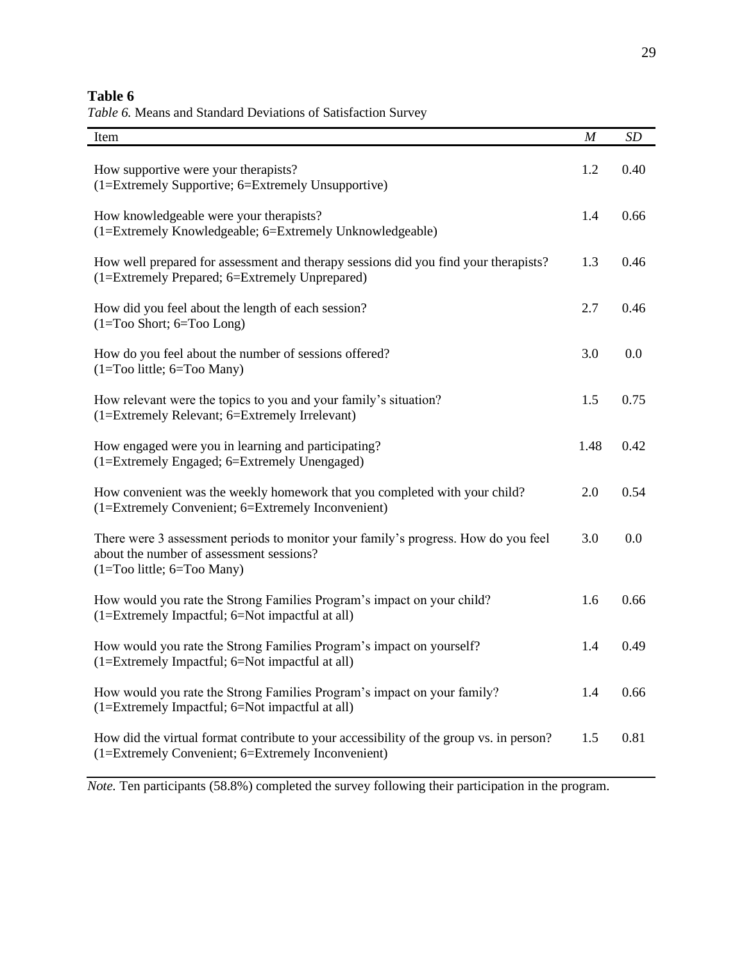# **Table 6**

*Table 6.* Means and Standard Deviations of Satisfaction Survey

| Item                                                                                                                                                            | $\boldsymbol{M}$ | SD   |
|-----------------------------------------------------------------------------------------------------------------------------------------------------------------|------------------|------|
| How supportive were your therapists?<br>(1=Extremely Supportive; 6=Extremely Unsupportive)                                                                      | 1.2              | 0.40 |
| How knowledgeable were your therapists?<br>(1=Extremely Knowledgeable; 6=Extremely Unknowledgeable)                                                             | 1.4              | 0.66 |
| How well prepared for assessment and therapy sessions did you find your therapists?<br>(1=Extremely Prepared; 6=Extremely Unprepared)                           | 1.3              | 0.46 |
| How did you feel about the length of each session?<br>$(1=$ Too Short; 6=Too Long)                                                                              | 2.7              | 0.46 |
| How do you feel about the number of sessions offered?<br>$(1=$ Too little; 6=Too Many)                                                                          | 3.0              | 0.0  |
| How relevant were the topics to you and your family's situation?<br>(1=Extremely Relevant; 6=Extremely Irrelevant)                                              | 1.5              | 0.75 |
| How engaged were you in learning and participating?<br>(1=Extremely Engaged; 6=Extremely Unengaged)                                                             | 1.48             | 0.42 |
| How convenient was the weekly homework that you completed with your child?<br>(1=Extremely Convenient; 6=Extremely Inconvenient)                                | 2.0              | 0.54 |
| There were 3 assessment periods to monitor your family's progress. How do you feel<br>about the number of assessment sessions?<br>$(1=$ Too little; 6=Too Many) | 3.0              | 0.0  |
| How would you rate the Strong Families Program's impact on your child?<br>(1=Extremely Impactful; 6=Not impactful at all)                                       | 1.6              | 0.66 |
| How would you rate the Strong Families Program's impact on yourself?<br>(1=Extremely Impactful; 6=Not impactful at all)                                         | 1.4              | 0.49 |
| How would you rate the Strong Families Program's impact on your family?<br>(1=Extremely Impactful; 6=Not impactful at all)                                      | 1.4              | 0.66 |
| How did the virtual format contribute to your accessibility of the group vs. in person?<br>(1=Extremely Convenient; 6=Extremely Inconvenient)                   | 1.5              | 0.81 |

*Note.* Ten participants (58.8%) completed the survey following their participation in the program.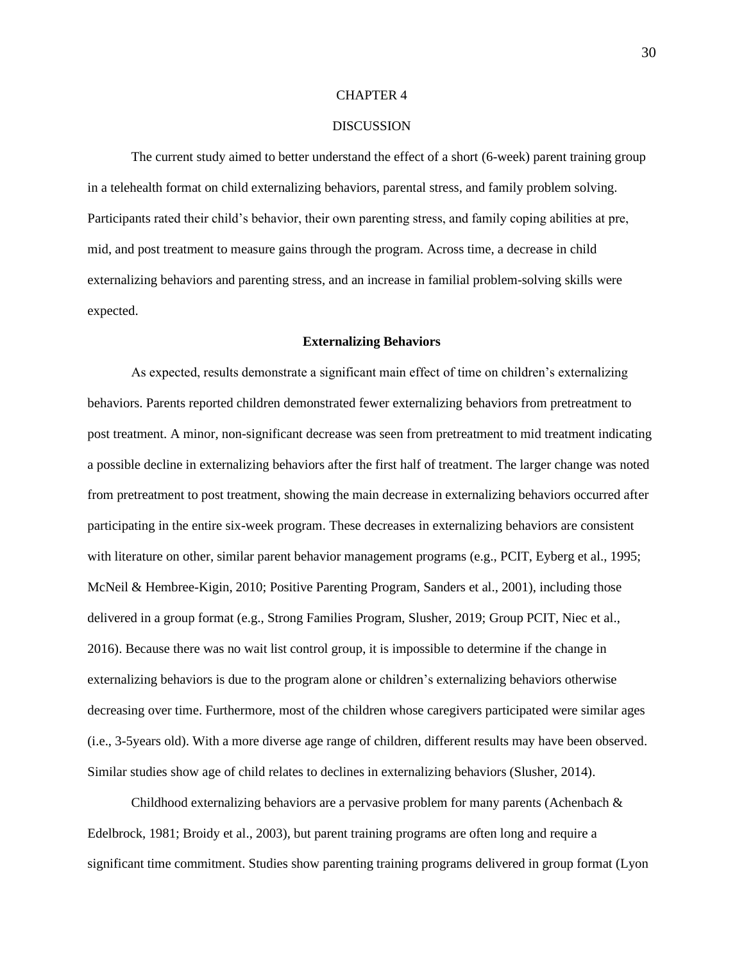#### CHAPTER 4

# DISCUSSION

The current study aimed to better understand the effect of a short (6-week) parent training group in a telehealth format on child externalizing behaviors, parental stress, and family problem solving. Participants rated their child's behavior, their own parenting stress, and family coping abilities at pre, mid, and post treatment to measure gains through the program. Across time, a decrease in child externalizing behaviors and parenting stress, and an increase in familial problem-solving skills were expected.

#### **Externalizing Behaviors**

As expected, results demonstrate a significant main effect of time on children's externalizing behaviors. Parents reported children demonstrated fewer externalizing behaviors from pretreatment to post treatment. A minor, non-significant decrease was seen from pretreatment to mid treatment indicating a possible decline in externalizing behaviors after the first half of treatment. The larger change was noted from pretreatment to post treatment, showing the main decrease in externalizing behaviors occurred after participating in the entire six-week program. These decreases in externalizing behaviors are consistent with literature on other, similar parent behavior management programs (e.g., PCIT, Eyberg et al., 1995; McNeil & Hembree-Kigin, 2010; Positive Parenting Program, Sanders et al., 2001), including those delivered in a group format (e.g., Strong Families Program, Slusher, 2019; Group PCIT, Niec et al., 2016). Because there was no wait list control group, it is impossible to determine if the change in externalizing behaviors is due to the program alone or children's externalizing behaviors otherwise decreasing over time. Furthermore, most of the children whose caregivers participated were similar ages (i.e., 3-5years old). With a more diverse age range of children, different results may have been observed. Similar studies show age of child relates to declines in externalizing behaviors (Slusher, 2014).

Childhood externalizing behaviors are a pervasive problem for many parents (Achenbach  $\&$ Edelbrock, 1981; Broidy et al., 2003), but parent training programs are often long and require a significant time commitment. Studies show parenting training programs delivered in group format (Lyon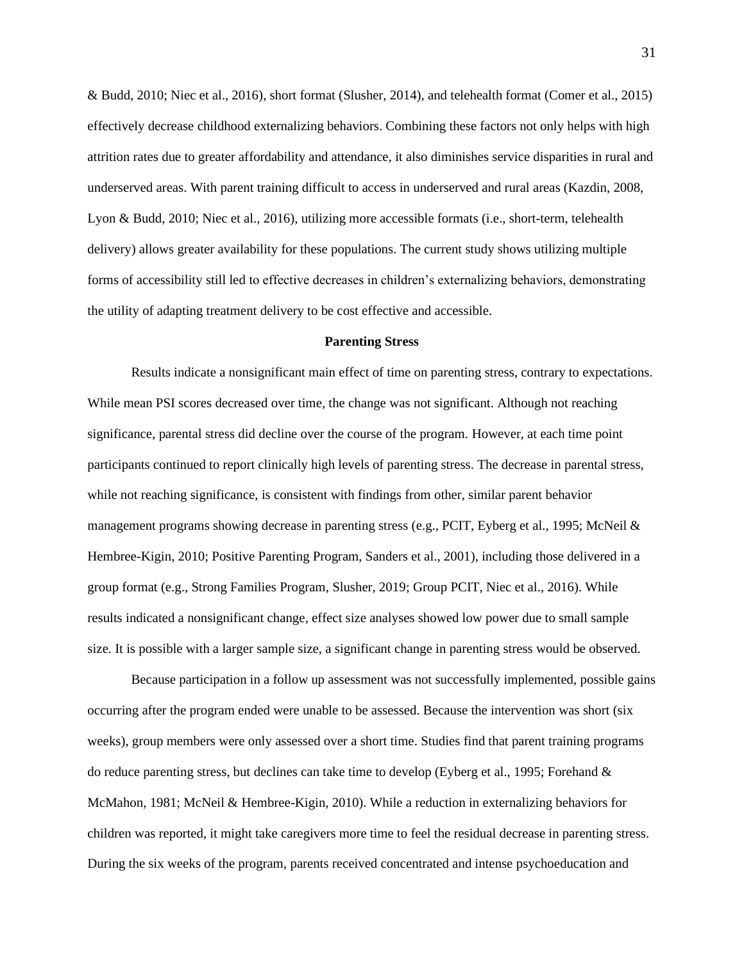& Budd, 2010; Niec et al., 2016), short format (Slusher, 2014), and telehealth format (Comer et al., 2015) effectively decrease childhood externalizing behaviors. Combining these factors not only helps with high attrition rates due to greater affordability and attendance, it also diminishes service disparities in rural and underserved areas. With parent training difficult to access in underserved and rural areas (Kazdin, 2008, Lyon & Budd, 2010; Niec et al., 2016), utilizing more accessible formats (i.e., short-term, telehealth delivery) allows greater availability for these populations. The current study shows utilizing multiple forms of accessibility still led to effective decreases in children's externalizing behaviors, demonstrating the utility of adapting treatment delivery to be cost effective and accessible.

# **Parenting Stress**

Results indicate a nonsignificant main effect of time on parenting stress, contrary to expectations. While mean PSI scores decreased over time, the change was not significant. Although not reaching significance, parental stress did decline over the course of the program. However, at each time point participants continued to report clinically high levels of parenting stress. The decrease in parental stress, while not reaching significance, is consistent with findings from other, similar parent behavior management programs showing decrease in parenting stress (e.g., PCIT, Eyberg et al., 1995; McNeil & Hembree-Kigin, 2010; Positive Parenting Program, Sanders et al., 2001), including those delivered in a group format (e.g., Strong Families Program, Slusher, 2019; Group PCIT, Niec et al., 2016). While results indicated a nonsignificant change, effect size analyses showed low power due to small sample size. It is possible with a larger sample size, a significant change in parenting stress would be observed.

Because participation in a follow up assessment was not successfully implemented, possible gains occurring after the program ended were unable to be assessed. Because the intervention was short (six weeks), group members were only assessed over a short time. Studies find that parent training programs do reduce parenting stress, but declines can take time to develop (Eyberg et al., 1995; Forehand & McMahon, 1981; McNeil & Hembree-Kigin, 2010). While a reduction in externalizing behaviors for children was reported, it might take caregivers more time to feel the residual decrease in parenting stress. During the six weeks of the program, parents received concentrated and intense psychoeducation and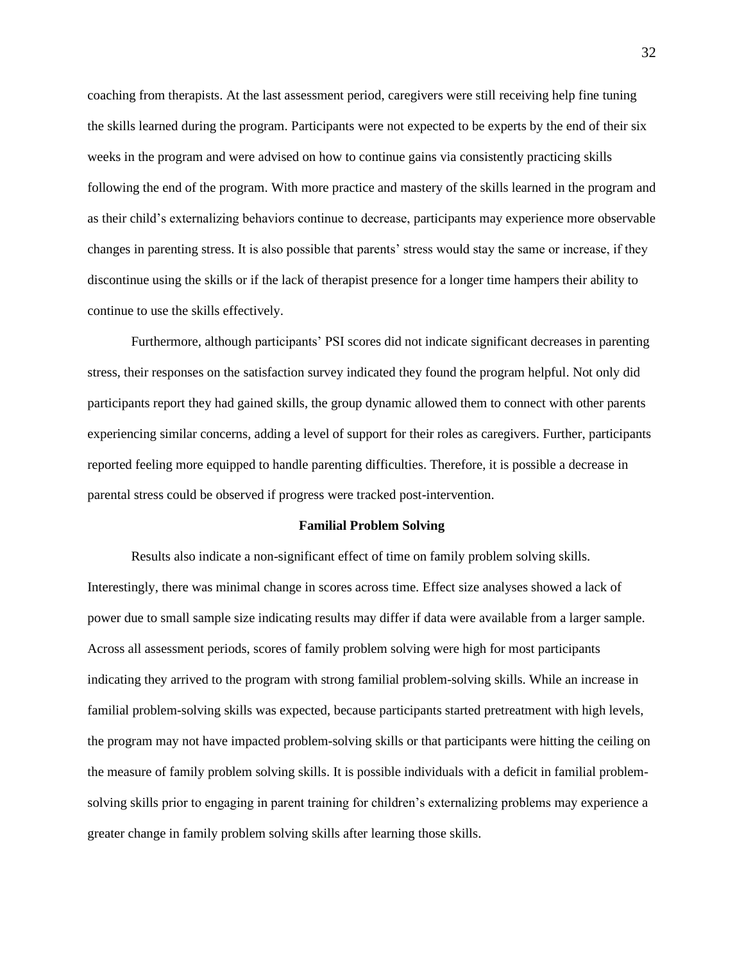coaching from therapists. At the last assessment period, caregivers were still receiving help fine tuning the skills learned during the program. Participants were not expected to be experts by the end of their six weeks in the program and were advised on how to continue gains via consistently practicing skills following the end of the program. With more practice and mastery of the skills learned in the program and as their child's externalizing behaviors continue to decrease, participants may experience more observable changes in parenting stress. It is also possible that parents' stress would stay the same or increase, if they discontinue using the skills or if the lack of therapist presence for a longer time hampers their ability to continue to use the skills effectively.

Furthermore, although participants' PSI scores did not indicate significant decreases in parenting stress, their responses on the satisfaction survey indicated they found the program helpful. Not only did participants report they had gained skills, the group dynamic allowed them to connect with other parents experiencing similar concerns, adding a level of support for their roles as caregivers. Further, participants reported feeling more equipped to handle parenting difficulties. Therefore, it is possible a decrease in parental stress could be observed if progress were tracked post-intervention.

### **Familial Problem Solving**

Results also indicate a non-significant effect of time on family problem solving skills. Interestingly, there was minimal change in scores across time. Effect size analyses showed a lack of power due to small sample size indicating results may differ if data were available from a larger sample. Across all assessment periods, scores of family problem solving were high for most participants indicating they arrived to the program with strong familial problem-solving skills. While an increase in familial problem-solving skills was expected, because participants started pretreatment with high levels, the program may not have impacted problem-solving skills or that participants were hitting the ceiling on the measure of family problem solving skills. It is possible individuals with a deficit in familial problemsolving skills prior to engaging in parent training for children's externalizing problems may experience a greater change in family problem solving skills after learning those skills.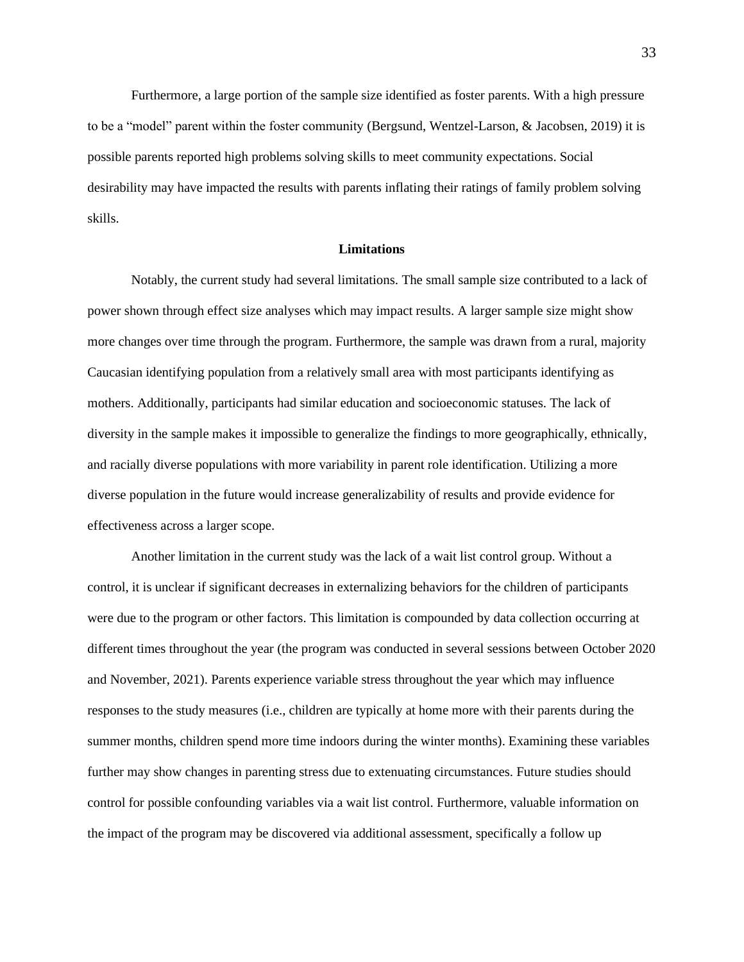Furthermore, a large portion of the sample size identified as foster parents. With a high pressure to be a "model" parent within the foster community (Bergsund, Wentzel-Larson, & Jacobsen, 2019) it is possible parents reported high problems solving skills to meet community expectations. Social desirability may have impacted the results with parents inflating their ratings of family problem solving skills.

# **Limitations**

Notably, the current study had several limitations. The small sample size contributed to a lack of power shown through effect size analyses which may impact results. A larger sample size might show more changes over time through the program. Furthermore, the sample was drawn from a rural, majority Caucasian identifying population from a relatively small area with most participants identifying as mothers. Additionally, participants had similar education and socioeconomic statuses. The lack of diversity in the sample makes it impossible to generalize the findings to more geographically, ethnically, and racially diverse populations with more variability in parent role identification. Utilizing a more diverse population in the future would increase generalizability of results and provide evidence for effectiveness across a larger scope.

Another limitation in the current study was the lack of a wait list control group. Without a control, it is unclear if significant decreases in externalizing behaviors for the children of participants were due to the program or other factors. This limitation is compounded by data collection occurring at different times throughout the year (the program was conducted in several sessions between October 2020 and November, 2021). Parents experience variable stress throughout the year which may influence responses to the study measures (i.e., children are typically at home more with their parents during the summer months, children spend more time indoors during the winter months). Examining these variables further may show changes in parenting stress due to extenuating circumstances. Future studies should control for possible confounding variables via a wait list control. Furthermore, valuable information on the impact of the program may be discovered via additional assessment, specifically a follow up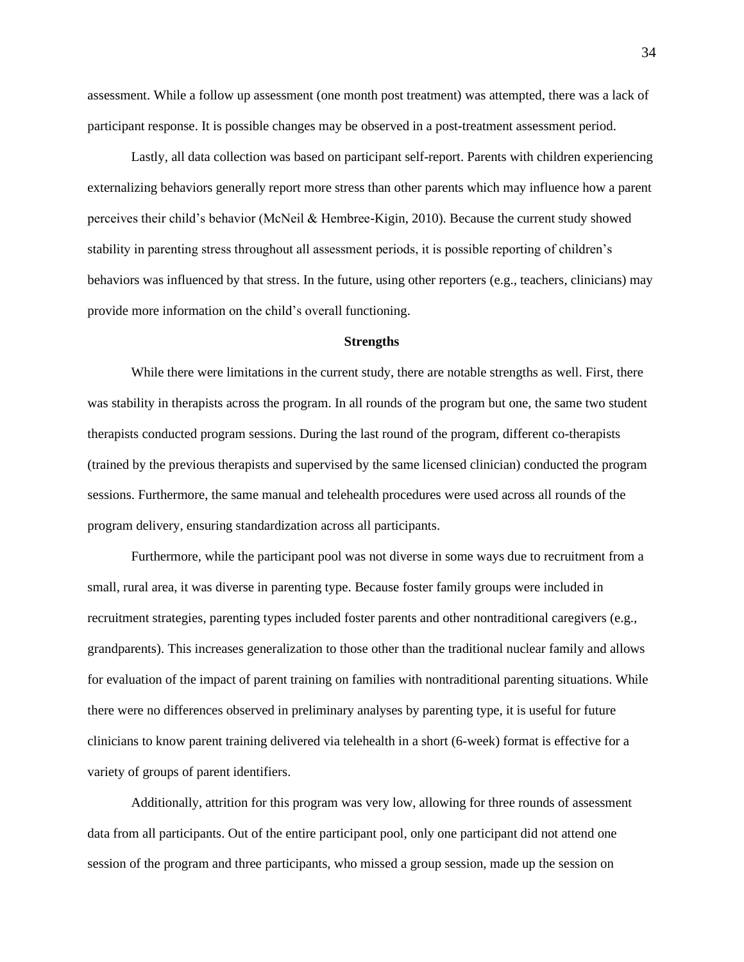assessment. While a follow up assessment (one month post treatment) was attempted, there was a lack of participant response. It is possible changes may be observed in a post-treatment assessment period.

Lastly, all data collection was based on participant self-report. Parents with children experiencing externalizing behaviors generally report more stress than other parents which may influence how a parent perceives their child's behavior (McNeil & Hembree-Kigin, 2010). Because the current study showed stability in parenting stress throughout all assessment periods, it is possible reporting of children's behaviors was influenced by that stress. In the future, using other reporters (e.g., teachers, clinicians) may provide more information on the child's overall functioning.

#### **Strengths**

While there were limitations in the current study, there are notable strengths as well. First, there was stability in therapists across the program. In all rounds of the program but one, the same two student therapists conducted program sessions. During the last round of the program, different co-therapists (trained by the previous therapists and supervised by the same licensed clinician) conducted the program sessions. Furthermore, the same manual and telehealth procedures were used across all rounds of the program delivery, ensuring standardization across all participants.

Furthermore, while the participant pool was not diverse in some ways due to recruitment from a small, rural area, it was diverse in parenting type. Because foster family groups were included in recruitment strategies, parenting types included foster parents and other nontraditional caregivers (e.g., grandparents). This increases generalization to those other than the traditional nuclear family and allows for evaluation of the impact of parent training on families with nontraditional parenting situations. While there were no differences observed in preliminary analyses by parenting type, it is useful for future clinicians to know parent training delivered via telehealth in a short (6-week) format is effective for a variety of groups of parent identifiers.

Additionally, attrition for this program was very low, allowing for three rounds of assessment data from all participants. Out of the entire participant pool, only one participant did not attend one session of the program and three participants, who missed a group session, made up the session on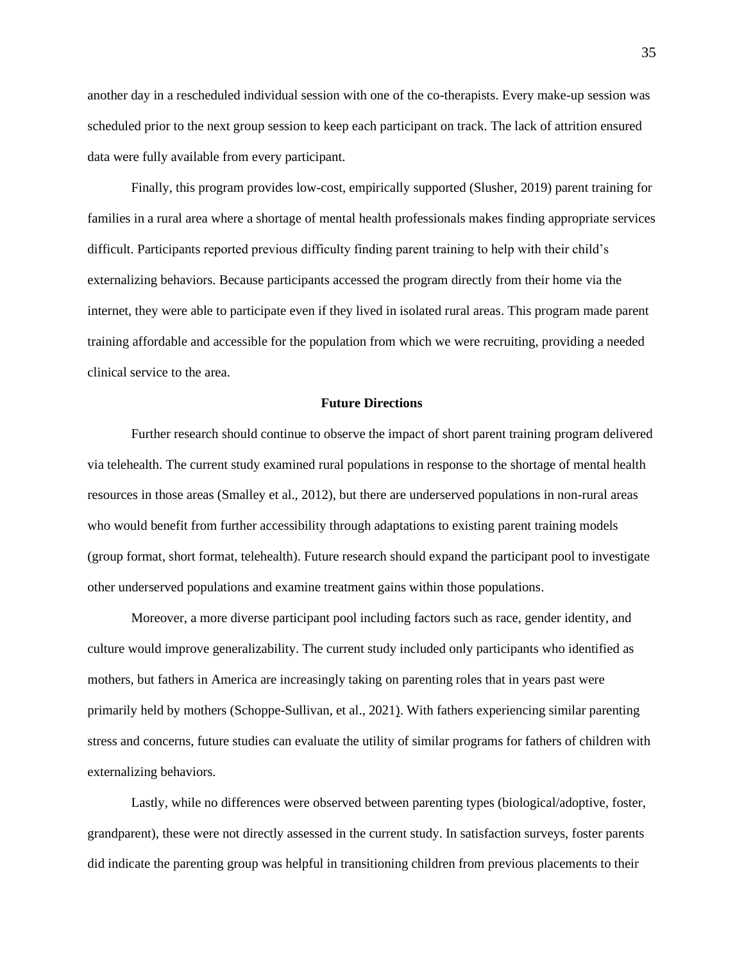another day in a rescheduled individual session with one of the co-therapists. Every make-up session was scheduled prior to the next group session to keep each participant on track. The lack of attrition ensured data were fully available from every participant.

Finally, this program provides low-cost, empirically supported (Slusher, 2019) parent training for families in a rural area where a shortage of mental health professionals makes finding appropriate services difficult. Participants reported previous difficulty finding parent training to help with their child's externalizing behaviors. Because participants accessed the program directly from their home via the internet, they were able to participate even if they lived in isolated rural areas. This program made parent training affordable and accessible for the population from which we were recruiting, providing a needed clinical service to the area.

# **Future Directions**

Further research should continue to observe the impact of short parent training program delivered via telehealth. The current study examined rural populations in response to the shortage of mental health resources in those areas (Smalley et al., 2012), but there are underserved populations in non-rural areas who would benefit from further accessibility through adaptations to existing parent training models (group format, short format, telehealth). Future research should expand the participant pool to investigate other underserved populations and examine treatment gains within those populations.

Moreover, a more diverse participant pool including factors such as race, gender identity, and culture would improve generalizability. The current study included only participants who identified as mothers, but fathers in America are increasingly taking on parenting roles that in years past were primarily held by mothers (Schoppe-Sullivan, et al., 2021). With fathers experiencing similar parenting stress and concerns, future studies can evaluate the utility of similar programs for fathers of children with externalizing behaviors.

Lastly, while no differences were observed between parenting types (biological/adoptive, foster, grandparent), these were not directly assessed in the current study. In satisfaction surveys, foster parents did indicate the parenting group was helpful in transitioning children from previous placements to their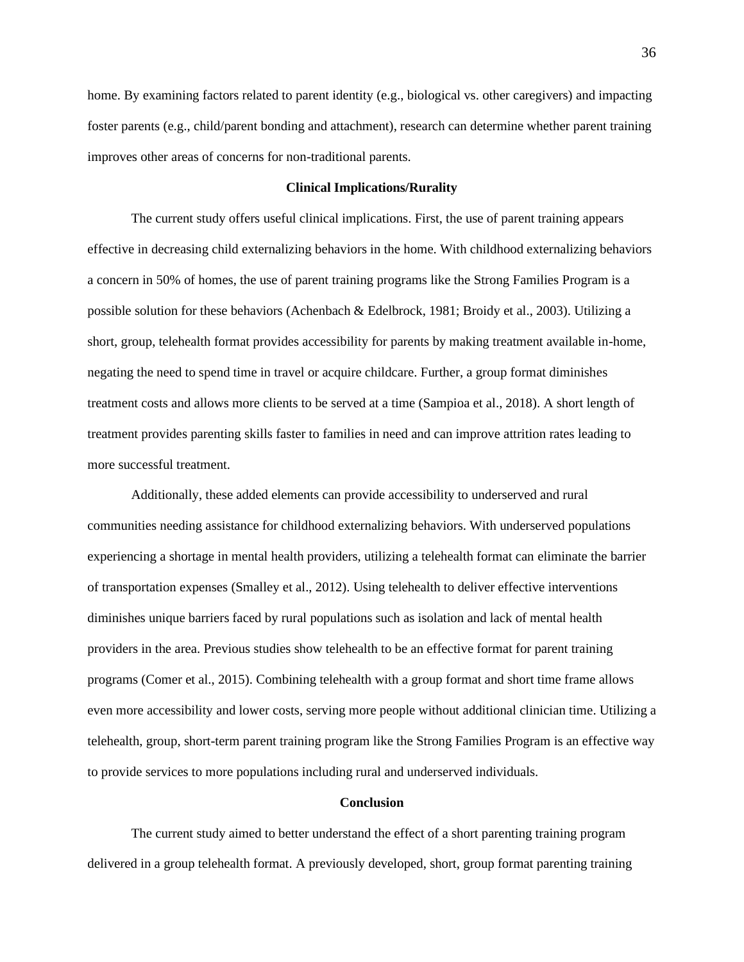home. By examining factors related to parent identity (e.g., biological vs. other caregivers) and impacting foster parents (e.g., child/parent bonding and attachment), research can determine whether parent training improves other areas of concerns for non-traditional parents.

# **Clinical Implications/Rurality**

The current study offers useful clinical implications. First, the use of parent training appears effective in decreasing child externalizing behaviors in the home. With childhood externalizing behaviors a concern in 50% of homes, the use of parent training programs like the Strong Families Program is a possible solution for these behaviors (Achenbach & Edelbrock, 1981; Broidy et al., 2003). Utilizing a short, group, telehealth format provides accessibility for parents by making treatment available in-home, negating the need to spend time in travel or acquire childcare. Further, a group format diminishes treatment costs and allows more clients to be served at a time (Sampioa et al., 2018). A short length of treatment provides parenting skills faster to families in need and can improve attrition rates leading to more successful treatment.

Additionally, these added elements can provide accessibility to underserved and rural communities needing assistance for childhood externalizing behaviors. With underserved populations experiencing a shortage in mental health providers, utilizing a telehealth format can eliminate the barrier of transportation expenses (Smalley et al., 2012). Using telehealth to deliver effective interventions diminishes unique barriers faced by rural populations such as isolation and lack of mental health providers in the area. Previous studies show telehealth to be an effective format for parent training programs (Comer et al., 2015). Combining telehealth with a group format and short time frame allows even more accessibility and lower costs, serving more people without additional clinician time. Utilizing a telehealth, group, short-term parent training program like the Strong Families Program is an effective way to provide services to more populations including rural and underserved individuals.

# **Conclusion**

The current study aimed to better understand the effect of a short parenting training program delivered in a group telehealth format. A previously developed, short, group format parenting training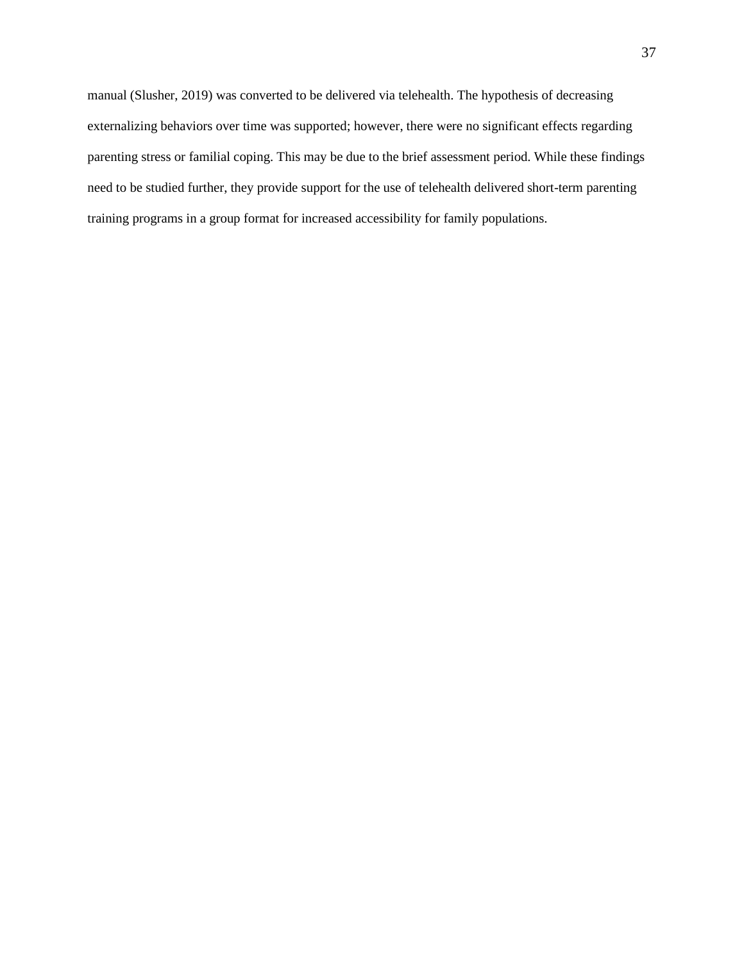manual (Slusher, 2019) was converted to be delivered via telehealth. The hypothesis of decreasing externalizing behaviors over time was supported; however, there were no significant effects regarding parenting stress or familial coping. This may be due to the brief assessment period. While these findings need to be studied further, they provide support for the use of telehealth delivered short-term parenting training programs in a group format for increased accessibility for family populations.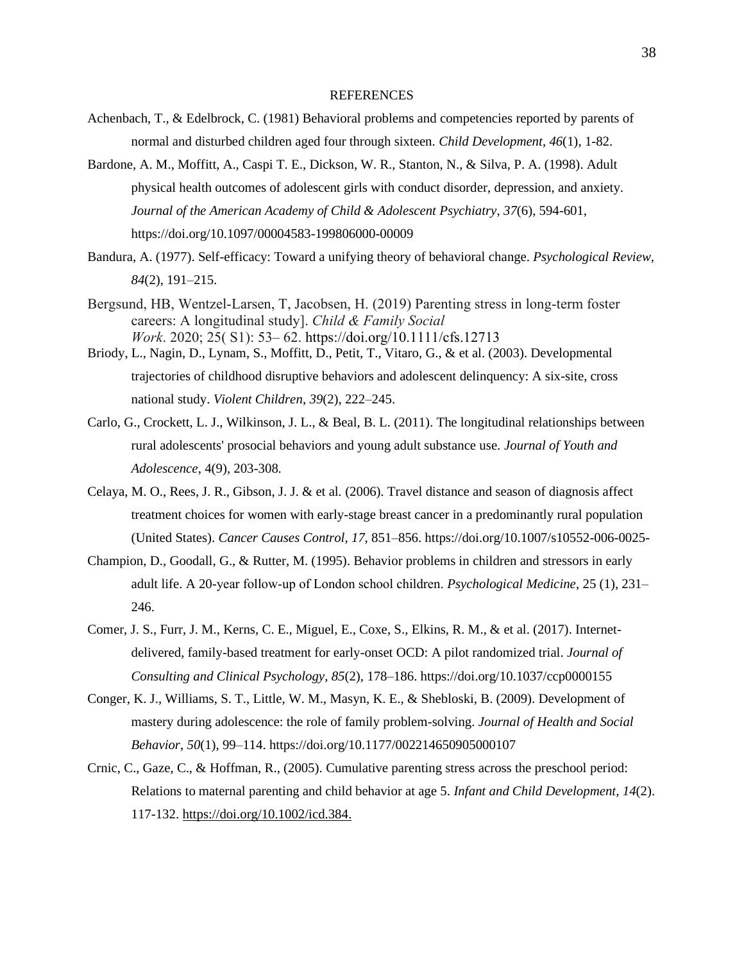#### **REFERENCES**

- Achenbach, T., & Edelbrock, C. (1981) Behavioral problems and competencies reported by parents of normal and disturbed children aged four through sixteen. *Child Development*, *46*(1), 1-82.
- Bardone, A. M., Moffitt, A., Caspi T. E., Dickson, W. R., Stanton, N., & Silva, P. A. (1998). Adult physical health outcomes of adolescent girls with conduct disorder, depression, and anxiety. *Journal of the American Academy of Child & Adolescent Psychiatry*, *37*(6), 594-601, https://doi.org/10.1097/00004583-199806000-00009
- Bandura, A. (1977). Self-efficacy: Toward a unifying theory of behavioral change. *Psychological Review, 84*(2), 191–215.
- Bergsund, HB, Wentzel-Larsen, T, Jacobsen, H. (2019) Parenting stress in long-term foster careers: A longitudinal study]. *Child & Family Social Work*. 2020; 25( S1): 53– 62. <https://doi.org/10.1111/cfs.12713>
- Briody, L., Nagin, D., Lynam, S., Moffitt, D., Petit, T., Vitaro, G., & et al. (2003). Developmental trajectories of childhood disruptive behaviors and adolescent delinquency: A six-site, cross national study. *Violent Children*, *39*(2), 222–245.
- Carlo, G., Crockett, L. J., Wilkinson, J. L., & Beal, B. L. (2011). The longitudinal relationships between rural adolescents' prosocial behaviors and young adult substance use. *Journal of Youth and Adolescence*, 4(9), 203-308.
- Celaya, M. O., Rees, J. R., Gibson, J. J. & et al*.* (2006). Travel distance and season of diagnosis affect treatment choices for women with early-stage breast cancer in a predominantly rural population (United States). *Cancer Causes Control, 17*, 851–856. https://doi.org/10.1007/s10552-006-0025-
- Champion, D., Goodall, G., & Rutter, M. (1995). Behavior problems in children and stressors in early adult life. A 20-year follow‐up of London school children. *Psychological Medicine*, 25 (1), 231– 246.
- Comer, J. S., Furr, J. M., Kerns, C. E., Miguel, E., Coxe, S., Elkins, R. M., & et al. (2017). Internetdelivered, family-based treatment for early-onset OCD: A pilot randomized trial. *Journal of Consulting and Clinical Psychology*, *85*(2), 178–186. https://doi.org/10.1037/ccp0000155
- Conger, K. J., Williams, S. T., Little, W. M., Masyn, K. E., & Shebloski, B. (2009). Development of mastery during adolescence: the role of family problem-solving. *Journal of Health and Social Behavior*, *50*(1), 99–114. https://doi.org/10.1177/002214650905000107
- Crnic, C., Gaze, C., & Hoffman, R., (2005). Cumulative parenting stress across the preschool period: Relations to maternal parenting and child behavior at age 5. *Infant and Child Development, 14*(2). 117-132. [https://doi.org/10.1002/icd.384.](https://doi.org/10.1002/icd.384)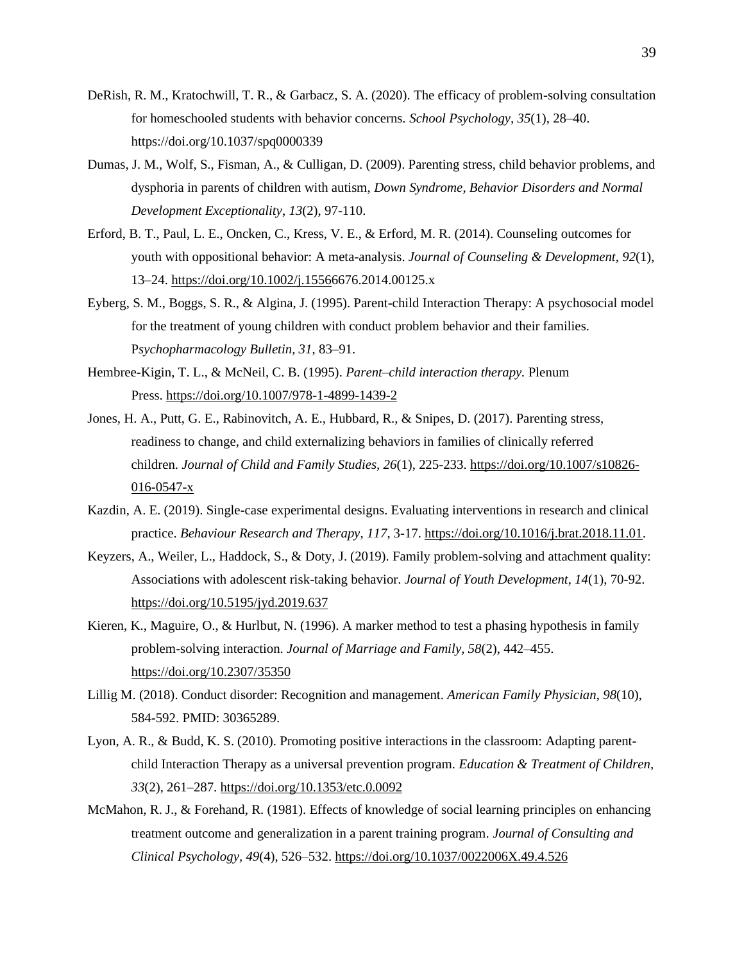- DeRish, R. M., Kratochwill, T. R., & Garbacz, S. A. (2020). The efficacy of problem-solving consultation for homeschooled students with behavior concerns. *School Psychology, 35*(1), 28–40. <https://doi.org/10.1037/spq0000339>
- Dumas, J. M., Wolf, S., Fisman, A., & Culligan, D. (2009). Parenting stress, child behavior problems, and dysphoria in parents of children with autism, *Down Syndrome, Behavior Disorders and Normal Development Exceptionality*, *13*(2), 97-110.
- Erford, B. T., Paul, L. E., Oncken, C., Kress, V. E., & Erford, M. R. (2014). Counseling outcomes for youth with oppositional behavior: A meta-analysis. *Journal of Counseling & Development*, *92*(1), 13–24. [https://doi.org/10.1002/j.15566](https://doi.org/10.1002/j.1556)676.2014.00125.x
- Eyberg, S. M., Boggs, S. R., & Algina, J. (1995). Parent-child Interaction Therapy: A psychosocial model for the treatment of young children with conduct problem behavior and their families. P*sychopharmacology Bulletin, 31*, 83–91.
- Hembree-Kigin, T. L., & McNeil, C. B. (1995). *Parent–child interaction therapy.* Plenum Press. [https://doi.org/10.1007/978-1-4899-1439-2](https://psycnet.apa.org/doi/10.1007/978-1-4899-1439-2)
- Jones, H. A., Putt, G. E., Rabinovitch, A. E., Hubbard, R., & Snipes, D. (2017). Parenting stress, readiness to change, and child externalizing behaviors in families of clinically referred children. *Journal of Child and Family Studies, 26*(1), 225-233. [https://doi.org/10.1007/s10826-](https://psycnet.apa.org/doi/10.1007/s10826-016-0547-x) [016-0547-x](https://psycnet.apa.org/doi/10.1007/s10826-016-0547-x)
- Kazdin, A. E. (2019). Single-case experimental designs. Evaluating interventions in research and clinical practice. *Behaviour Research and Therapy*, *117*, 3-17. [https://doi.org/10.1016/j.brat.2018.11.01.](https://doi.org/10.1016/j.brat.2018.11.01)
- Keyzers, A., Weiler, L., Haddock, S., & Doty, J. (2019). Family problem-solving and attachment quality: Associations with adolescent risk-taking behavior. *Journal of Youth Development*, *14*(1), 70-92. <https://doi.org/10.5195/jyd.2019.637>
- Kieren, K., Maguire, O., & Hurlbut, N. (1996). A marker method to test a phasing hypothesis in family problem-solving interaction. *Journal of Marriage and Family, 58*(2), 442–455. <https://doi.org/10.2307/35350>
- Lillig M. (2018). Conduct disorder: Recognition and management. *American Family Physician*, *98*(10), 584-592. PMID: 30365289.
- Lyon, A. R., & Budd, K. S. (2010). Promoting positive interactions in the classroom: Adapting parentchild Interaction Therapy as a universal prevention program. *Education & Treatment of Children, 33*(2), 261–287. [https://doi.org/10.1353/etc.0.0092](https://psycnet.apa.org/doi/10.1353/etc.0.0092)
- McMahon, R. J., & Forehand, R. (1981). Effects of knowledge of social learning principles on enhancing treatment outcome and generalization in a parent training program. *Journal of Consulting and Clinical Psychology, 49*(4), 526–532. <https://doi.org/10.1037/0022006X.49.4.526>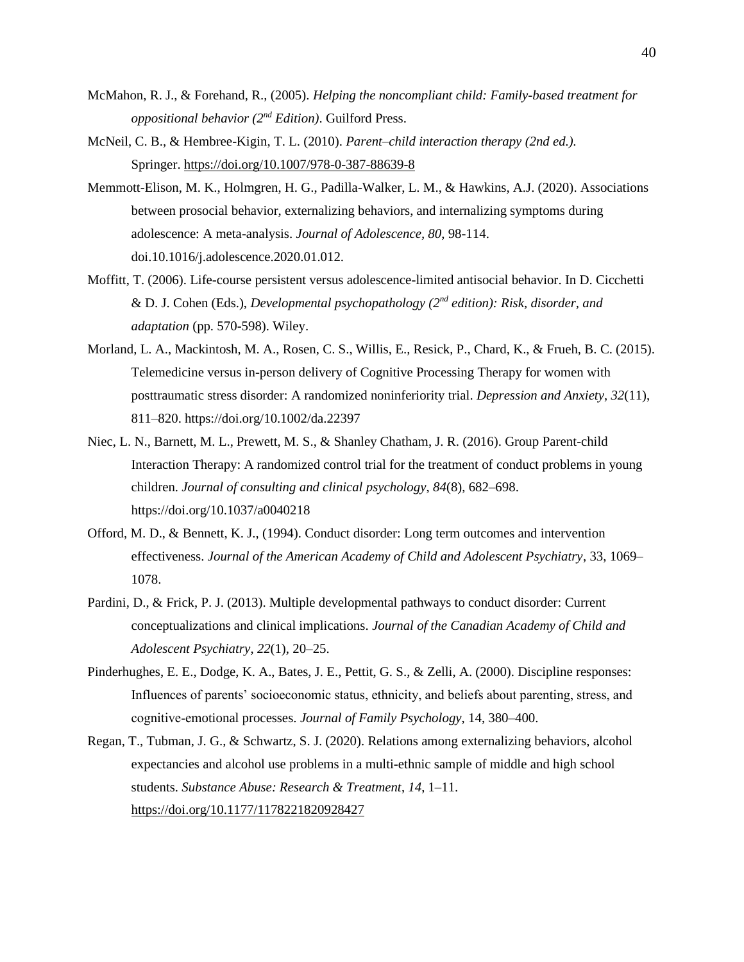- McMahon, R. J., & Forehand, R., (2005). *Helping the noncompliant child: Family-based treatment for oppositional behavior (2 nd Edition)*. Guilford Press.
- McNeil, C. B., & Hembree-Kigin, T. L. (2010). *Parent–child interaction therapy (2nd ed.).* Springer. [https://doi.org/10.1007/978-0-387-88639-8](https://psycnet.apa.org/doi/10.1007/978-0-387-88639-8)
- Memmott-Elison, M. K., Holmgren, H. G., Padilla-Walker, L. M., & Hawkins, A.J. (2020). Associations between prosocial behavior, externalizing behaviors, and internalizing symptoms during adolescence: A meta-analysis. *Journal of Adolescence, 80*, 98-114. doi.10.1016/j.adolescence.2020.01.012.
- Moffitt, T. (2006). Life-course persistent versus adolescence-limited antisocial behavior. In D. Cicchetti & D. J. Cohen (Eds.), *Developmental psychopathology (2nd edition): Risk, disorder, and adaptation* (pp. 570-598). Wiley.
- Morland, L. A., Mackintosh, M. A., Rosen, C. S., Willis, E., Resick, P., Chard, K., & Frueh, B. C. (2015). Telemedicine versus in-person delivery of Cognitive Processing Therapy for women with posttraumatic stress disorder: A randomized noninferiority trial. *Depression and Anxiety*, *32*(11), 811–820. https://doi.org/10.1002/da.22397
- Niec, L. N., Barnett, M. L., Prewett, M. S., & Shanley Chatham, J. R. (2016). Group Parent-child Interaction Therapy: A randomized control trial for the treatment of conduct problems in young children. *Journal of consulting and clinical psychology*, *84*(8), 682–698. https://doi.org/10.1037/a0040218
- Offord, M. D., & Bennett, K. J., (1994). Conduct disorder: Long term outcomes and intervention effectiveness. *Journal of the American Academy of Child and Adolescent Psychiatry*, 33, 1069– 1078.
- Pardini, D., & Frick, P. J. (2013). Multiple developmental pathways to conduct disorder: Current conceptualizations and clinical implications. *Journal of the Canadian Academy of Child and Adolescent Psychiatry*, *22*(1), 20–25.
- Pinderhughes, E. E., Dodge, K. A., Bates, J. E., Pettit, G. S., & Zelli, A. (2000). Discipline responses: Influences of parents' socioeconomic status, ethnicity, and beliefs about parenting, stress, and cognitive‐emotional processes. *Journal of Family Psychology*, 14, 380–400.
- Regan, T., Tubman, J. G., & Schwartz, S. J. (2020). Relations among externalizing behaviors, alcohol expectancies and alcohol use problems in a multi-ethnic sample of middle and high school students. *Substance Abuse: Research & Treatment*, *14*, 1–11. <https://doi.org/10.1177/1178221820928427>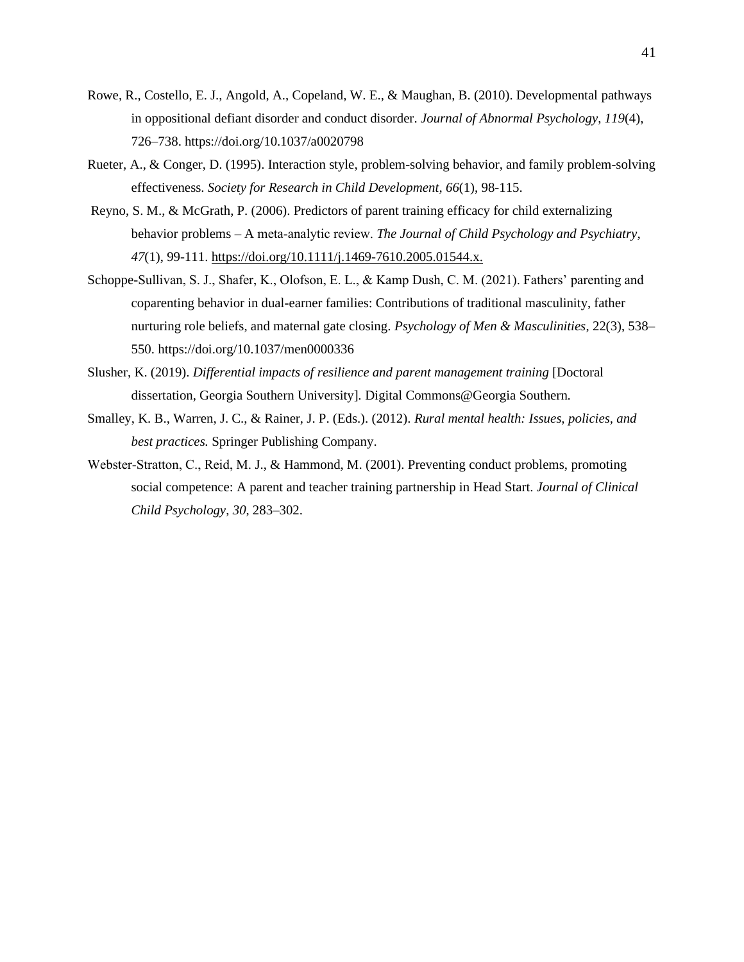- Rowe, R., Costello, E. J., Angold, A., Copeland, W. E., & Maughan, B. (2010). Developmental pathways in oppositional defiant disorder and conduct disorder. *Journal of Abnormal Psychology*, *119*(4), 726–738. https://doi.org/10.1037/a0020798
- Rueter, A., & Conger, D. (1995). Interaction style, problem-solving behavior, and family problem-solving effectiveness. *Society for Research in Child Development, 66*(1), 98-115.
- Reyno, S. M., & McGrath, P. (2006). Predictors of parent training efficacy for child externalizing behavior problems – A meta‐analytic review. *The Journal of Child Psychology and Psychiatry*, *47*(1), 99-111. [https://doi.org/10.1111/j.1469-7610.2005.01544.x.](https://doi.org/10.1111/j.1469-7610.2005.01544.x)
- Schoppe-Sullivan, S. J., Shafer, K., Olofson, E. L., & Kamp Dush, C. M. (2021). Fathers' parenting and coparenting behavior in dual-earner families: Contributions of traditional masculinity, father nurturing role beliefs, and maternal gate closing. *Psychology of Men & Masculinities*, 22(3), 538– 550. https://doi.org/10.1037/men0000336
- Slusher, K. (2019). *Differential impacts of resilience and parent management training* [Doctoral dissertation, Georgia Southern University]*.* Digital Commons@Georgia Southern.
- Smalley, K. B., Warren, J. C., & Rainer, J. P. (Eds.). (2012). *Rural mental health: Issues, policies, and best practices.* Springer Publishing Company.
- Webster-Stratton, C., Reid, M. J., & Hammond, M. (2001). Preventing conduct problems, promoting social competence: A parent and teacher training partnership in Head Start. *Journal of Clinical Child Psychology*, *30*, 283–302.